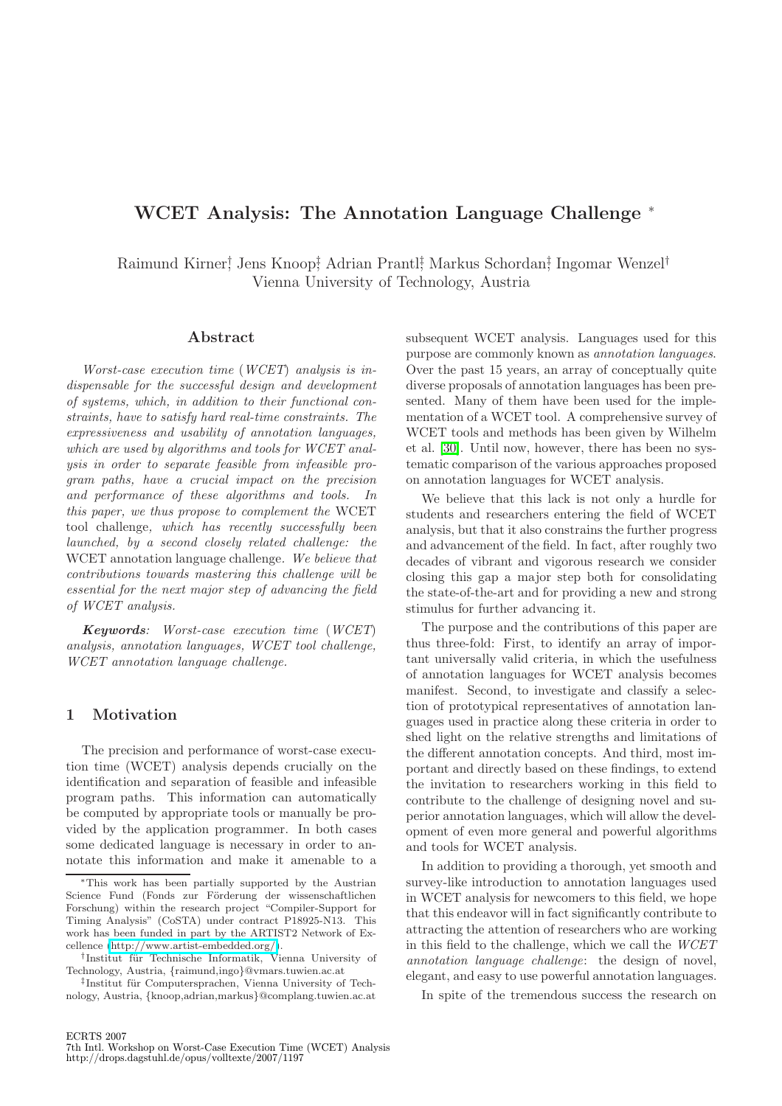# WCET Analysis: The Annotation Language Challenge <sup>∗</sup>

Raimund Kirner, Jens Knoop; Adrian Prantl; Markus Schordan; Ingomar Wenzel<sup>†</sup> Vienna University of Technology, Austria

### Abstract

Worst-case execution time (WCET) analysis is indispensable for the successful design and development of systems, which, in addition to their functional constraints, have to satisfy hard real-time constraints. The expressiveness and usability of annotation languages, which are used by algorithms and tools for WCET analysis in order to separate feasible from infeasible program paths, have a crucial impact on the precision and performance of these algorithms and tools. In this paper, we thus propose to complement the WCET tool challenge, which has recently successfully been launched, by a second closely related challenge: the WCET annotation language challenge. We believe that contributions towards mastering this challenge will be essential for the next major step of advancing the field of WCET analysis.

Keywords: Worst-case execution time (WCET) analysis, annotation languages, WCET tool challenge, WCET annotation language challenge.

### 1 Motivation

The precision and performance of worst-case execution time (WCET) analysis depends crucially on the identification and separation of feasible and infeasible program paths. This information can automatically be computed by appropriate tools or manually be provided by the application programmer. In both cases some dedicated language is necessary in order to annotate this information and make it amenable to a subsequent WCET analysis. Languages used for this purpose are commonly known as annotation languages. Over the past 15 years, an array of conceptually quite diverse proposals of annotation languages has been presented. Many of them have been used for the implementation of a WCET tool. A comprehensive survey of WCET tools and methods has been given by Wilhelm et al. [\[30\]](#page-16-0). Until now, however, there has been no systematic comparison of the various approaches proposed on annotation languages for WCET analysis.

We believe that this lack is not only a hurdle for students and researchers entering the field of WCET analysis, but that it also constrains the further progress and advancement of the field. In fact, after roughly two decades of vibrant and vigorous research we consider closing this gap a major step both for consolidating the state-of-the-art and for providing a new and strong stimulus for further advancing it.

The purpose and the contributions of this paper are thus three-fold: First, to identify an array of important universally valid criteria, in which the usefulness of annotation languages for WCET analysis becomes manifest. Second, to investigate and classify a selection of prototypical representatives of annotation languages used in practice along these criteria in order to shed light on the relative strengths and limitations of the different annotation concepts. And third, most important and directly based on these findings, to extend the invitation to researchers working in this field to contribute to the challenge of designing novel and superior annotation languages, which will allow the development of even more general and powerful algorithms and tools for WCET analysis.

In addition to providing a thorough, yet smooth and survey-like introduction to annotation languages used in WCET analysis for newcomers to this field, we hope that this endeavor will in fact significantly contribute to attracting the attention of researchers who are working in this field to the challenge, which we call the WCET annotation language challenge: the design of novel, elegant, and easy to use powerful annotation languages.

In spite of the tremendous success the research on

<sup>∗</sup>This work has been partially supported by the Austrian Science Fund (Fonds zur Förderung der wissenschaftlichen Forschung) within the research project "Compiler-Support for Timing Analysis" (CoSTA) under contract P18925-N13. This work has been funded in part by the ARTIST2 Network of Excellence [\(http://www.artist-embedded.org/\)](http://www.artist-embedded.org/).

<sup>&</sup>lt;sup>†</sup>Institut für Technische Informatik, Vienna University of Technology, Austria, {raimund,ingo}@vmars.tuwien.ac.at

<sup>&</sup>lt;sup>‡</sup>Institut für Computersprachen, Vienna University of Technology, Austria, {knoop,adrian,markus}@complang.tuwien.ac.at

http://drops.dagstuhl.de/opus/volltexte/2007/1197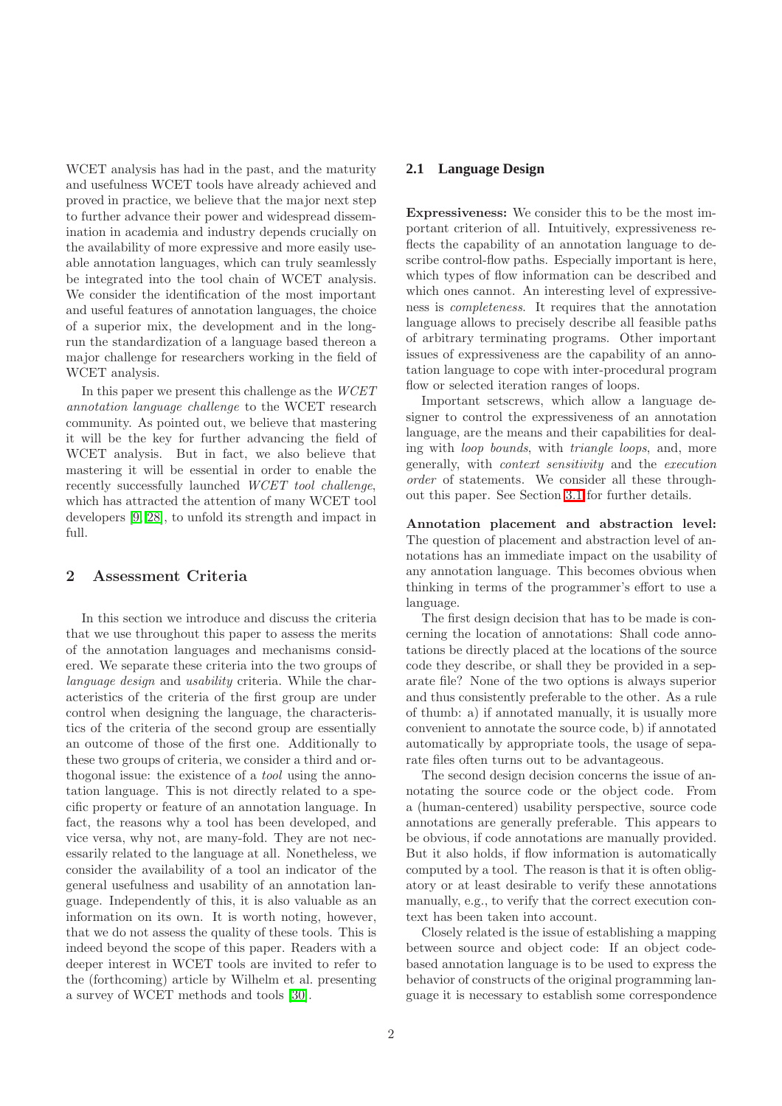WCET analysis has had in the past, and the maturity and usefulness WCET tools have already achieved and proved in practice, we believe that the major next step to further advance their power and widespread dissemination in academia and industry depends crucially on the availability of more expressive and more easily useable annotation languages, which can truly seamlessly be integrated into the tool chain of WCET analysis. We consider the identification of the most important and useful features of annotation languages, the choice of a superior mix, the development and in the longrun the standardization of a language based thereon a major challenge for researchers working in the field of WCET analysis.

In this paper we present this challenge as the WCET annotation language challenge to the WCET research community. As pointed out, we believe that mastering it will be the key for further advancing the field of WCET analysis. But in fact, we also believe that mastering it will be essential in order to enable the recently successfully launched WCET tool challenge, which has attracted the attention of many WCET tool developers [\[9,](#page-16-1) [28\]](#page-16-2), to unfold its strength and impact in full.

### <span id="page-1-0"></span>2 Assessment Criteria

In this section we introduce and discuss the criteria that we use throughout this paper to assess the merits of the annotation languages and mechanisms considered. We separate these criteria into the two groups of language design and usability criteria. While the characteristics of the criteria of the first group are under control when designing the language, the characteristics of the criteria of the second group are essentially an outcome of those of the first one. Additionally to these two groups of criteria, we consider a third and orthogonal issue: the existence of a tool using the annotation language. This is not directly related to a specific property or feature of an annotation language. In fact, the reasons why a tool has been developed, and vice versa, why not, are many-fold. They are not necessarily related to the language at all. Nonetheless, we consider the availability of a tool an indicator of the general usefulness and usability of an annotation language. Independently of this, it is also valuable as an information on its own. It is worth noting, however, that we do not assess the quality of these tools. This is indeed beyond the scope of this paper. Readers with a deeper interest in WCET tools are invited to refer to the (forthcoming) article by Wilhelm et al. presenting a survey of WCET methods and tools [\[30\]](#page-16-0).

### **2.1 Language Design**

Expressiveness: We consider this to be the most important criterion of all. Intuitively, expressiveness reflects the capability of an annotation language to describe control-flow paths. Especially important is here, which types of flow information can be described and which ones cannot. An interesting level of expressiveness is completeness. It requires that the annotation language allows to precisely describe all feasible paths of arbitrary terminating programs. Other important issues of expressiveness are the capability of an annotation language to cope with inter-procedural program flow or selected iteration ranges of loops.

Important setscrews, which allow a language designer to control the expressiveness of an annotation language, are the means and their capabilities for dealing with loop bounds, with triangle loops, and, more generally, with context sensitivity and the execution order of statements. We consider all these throughout this paper. See Section [3.1](#page-3-0) for further details.

Annotation placement and abstraction level: The question of placement and abstraction level of annotations has an immediate impact on the usability of any annotation language. This becomes obvious when thinking in terms of the programmer's effort to use a language.

The first design decision that has to be made is concerning the location of annotations: Shall code annotations be directly placed at the locations of the source code they describe, or shall they be provided in a separate file? None of the two options is always superior and thus consistently preferable to the other. As a rule of thumb: a) if annotated manually, it is usually more convenient to annotate the source code, b) if annotated automatically by appropriate tools, the usage of separate files often turns out to be advantageous.

The second design decision concerns the issue of annotating the source code or the object code. From a (human-centered) usability perspective, source code annotations are generally preferable. This appears to be obvious, if code annotations are manually provided. But it also holds, if flow information is automatically computed by a tool. The reason is that it is often obligatory or at least desirable to verify these annotations manually, e.g., to verify that the correct execution context has been taken into account.

Closely related is the issue of establishing a mapping between source and object code: If an object codebased annotation language is to be used to express the behavior of constructs of the original programming language it is necessary to establish some correspondence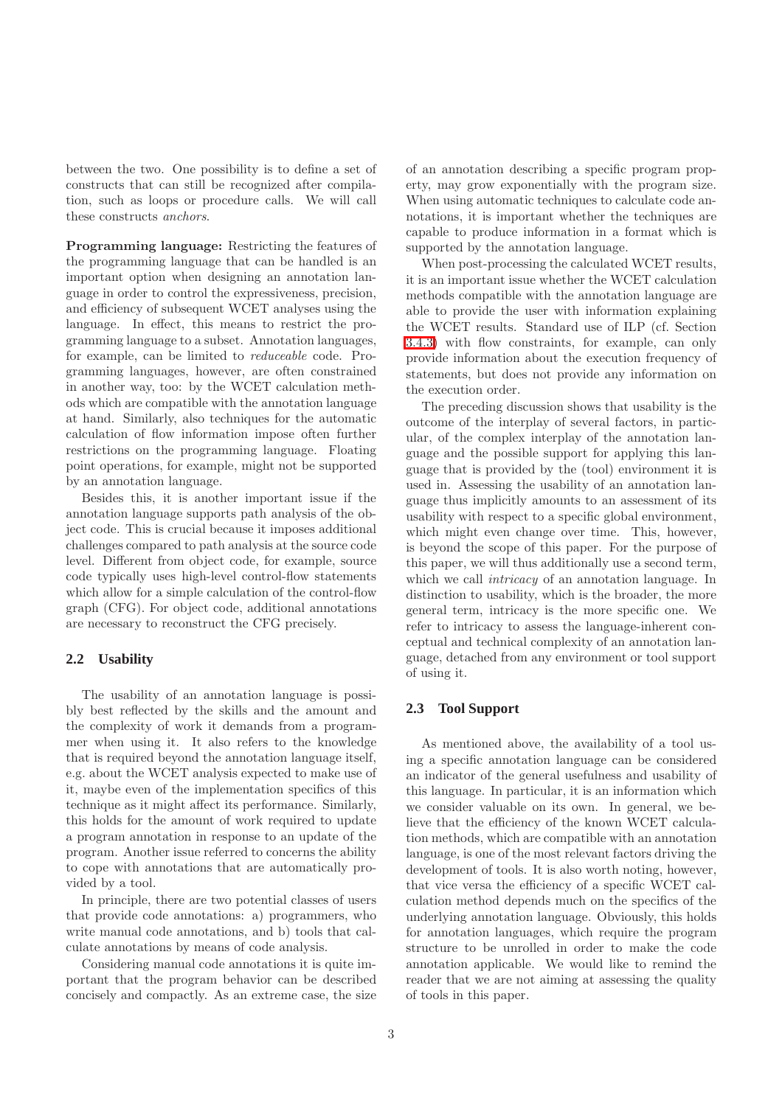between the two. One possibility is to define a set of constructs that can still be recognized after compilation, such as loops or procedure calls. We will call these constructs anchors.

Programming language: Restricting the features of the programming language that can be handled is an important option when designing an annotation language in order to control the expressiveness, precision, and efficiency of subsequent WCET analyses using the language. In effect, this means to restrict the programming language to a subset. Annotation languages, for example, can be limited to reduceable code. Programming languages, however, are often constrained in another way, too: by the WCET calculation methods which are compatible with the annotation language at hand. Similarly, also techniques for the automatic calculation of flow information impose often further restrictions on the programming language. Floating point operations, for example, might not be supported by an annotation language.

Besides this, it is another important issue if the annotation language supports path analysis of the object code. This is crucial because it imposes additional challenges compared to path analysis at the source code level. Different from object code, for example, source code typically uses high-level control-flow statements which allow for a simple calculation of the control-flow graph (CFG). For object code, additional annotations are necessary to reconstruct the CFG precisely.

### **2.2 Usability**

The usability of an annotation language is possibly best reflected by the skills and the amount and the complexity of work it demands from a programmer when using it. It also refers to the knowledge that is required beyond the annotation language itself, e.g. about the WCET analysis expected to make use of it, maybe even of the implementation specifics of this technique as it might affect its performance. Similarly, this holds for the amount of work required to update a program annotation in response to an update of the program. Another issue referred to concerns the ability to cope with annotations that are automatically provided by a tool.

In principle, there are two potential classes of users that provide code annotations: a) programmers, who write manual code annotations, and b) tools that calculate annotations by means of code analysis.

Considering manual code annotations it is quite important that the program behavior can be described concisely and compactly. As an extreme case, the size of an annotation describing a specific program property, may grow exponentially with the program size. When using automatic techniques to calculate code annotations, it is important whether the techniques are capable to produce information in a format which is supported by the annotation language.

When post-processing the calculated WCET results, it is an important issue whether the WCET calculation methods compatible with the annotation language are able to provide the user with information explaining the WCET results. Standard use of ILP (cf. Section [3.4.3\)](#page-4-0) with flow constraints, for example, can only provide information about the execution frequency of statements, but does not provide any information on the execution order.

The preceding discussion shows that usability is the outcome of the interplay of several factors, in particular, of the complex interplay of the annotation language and the possible support for applying this language that is provided by the (tool) environment it is used in. Assessing the usability of an annotation language thus implicitly amounts to an assessment of its usability with respect to a specific global environment, which might even change over time. This, however, is beyond the scope of this paper. For the purpose of this paper, we will thus additionally use a second term, which we call *intricacy* of an annotation language. In distinction to usability, which is the broader, the more general term, intricacy is the more specific one. We refer to intricacy to assess the language-inherent conceptual and technical complexity of an annotation language, detached from any environment or tool support of using it.

### **2.3 Tool Support**

As mentioned above, the availability of a tool using a specific annotation language can be considered an indicator of the general usefulness and usability of this language. In particular, it is an information which we consider valuable on its own. In general, we believe that the efficiency of the known WCET calculation methods, which are compatible with an annotation language, is one of the most relevant factors driving the development of tools. It is also worth noting, however, that vice versa the efficiency of a specific WCET calculation method depends much on the specifics of the underlying annotation language. Obviously, this holds for annotation languages, which require the program structure to be unrolled in order to make the code annotation applicable. We would like to remind the reader that we are not aiming at assessing the quality of tools in this paper.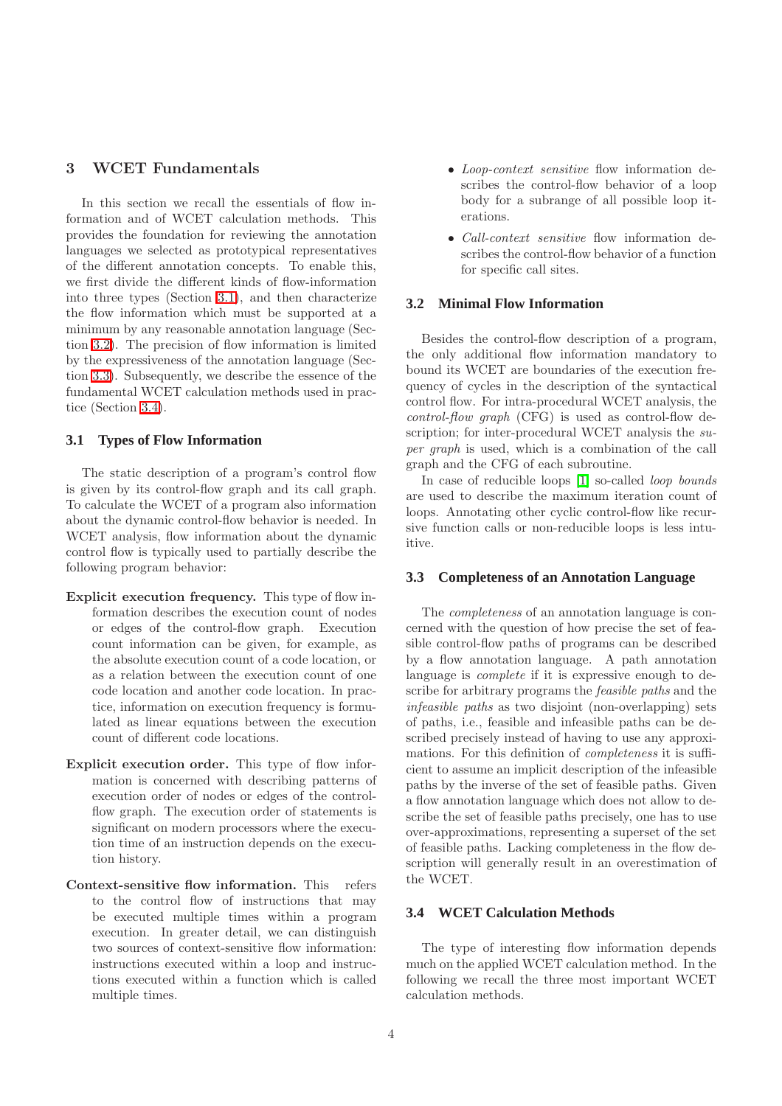# 3 WCET Fundamentals

In this section we recall the essentials of flow information and of WCET calculation methods. This provides the foundation for reviewing the annotation languages we selected as prototypical representatives of the different annotation concepts. To enable this, we first divide the different kinds of flow-information into three types (Section [3.1\)](#page-3-0), and then characterize the flow information which must be supported at a minimum by any reasonable annotation language (Section [3.2\)](#page-3-1). The precision of flow information is limited by the expressiveness of the annotation language (Section [3.3\)](#page-3-2). Subsequently, we describe the essence of the fundamental WCET calculation methods used in practice (Section [3.4\)](#page-3-3).

### <span id="page-3-0"></span>**3.1 Types of Flow Information**

The static description of a program's control flow is given by its control-flow graph and its call graph. To calculate the WCET of a program also information about the dynamic control-flow behavior is needed. In WCET analysis, flow information about the dynamic control flow is typically used to partially describe the following program behavior:

- Explicit execution frequency. This type of flow information describes the execution count of nodes or edges of the control-flow graph. Execution count information can be given, for example, as the absolute execution count of a code location, or as a relation between the execution count of one code location and another code location. In practice, information on execution frequency is formulated as linear equations between the execution count of different code locations.
- Explicit execution order. This type of flow information is concerned with describing patterns of execution order of nodes or edges of the controlflow graph. The execution order of statements is significant on modern processors where the execution time of an instruction depends on the execution history.
- Context-sensitive flow information. This refers to the control flow of instructions that may be executed multiple times within a program execution. In greater detail, we can distinguish two sources of context-sensitive flow information: instructions executed within a loop and instructions executed within a function which is called multiple times.
- Loop-context sensitive flow information describes the control-flow behavior of a loop body for a subrange of all possible loop iterations.
- Call-context sensitive flow information describes the control-flow behavior of a function for specific call sites.

### <span id="page-3-1"></span>**3.2 Minimal Flow Information**

Besides the control-flow description of a program, the only additional flow information mandatory to bound its WCET are boundaries of the execution frequency of cycles in the description of the syntactical control flow. For intra-procedural WCET analysis, the control-flow graph (CFG) is used as control-flow description; for inter-procedural WCET analysis the super graph is used, which is a combination of the call graph and the CFG of each subroutine.

In case of reducible loops [\[1\]](#page-15-0) so-called loop bounds are used to describe the maximum iteration count of loops. Annotating other cyclic control-flow like recursive function calls or non-reducible loops is less intuitive.

#### <span id="page-3-2"></span>**3.3 Completeness of an Annotation Language**

The completeness of an annotation language is concerned with the question of how precise the set of feasible control-flow paths of programs can be described by a flow annotation language. A path annotation language is complete if it is expressive enough to describe for arbitrary programs the feasible paths and the infeasible paths as two disjoint (non-overlapping) sets of paths, i.e., feasible and infeasible paths can be described precisely instead of having to use any approximations. For this definition of completeness it is sufficient to assume an implicit description of the infeasible paths by the inverse of the set of feasible paths. Given a flow annotation language which does not allow to describe the set of feasible paths precisely, one has to use over-approximations, representing a superset of the set of feasible paths. Lacking completeness in the flow description will generally result in an overestimation of the WCET.

### <span id="page-3-3"></span>**3.4 WCET Calculation Methods**

The type of interesting flow information depends much on the applied WCET calculation method. In the following we recall the three most important WCET calculation methods.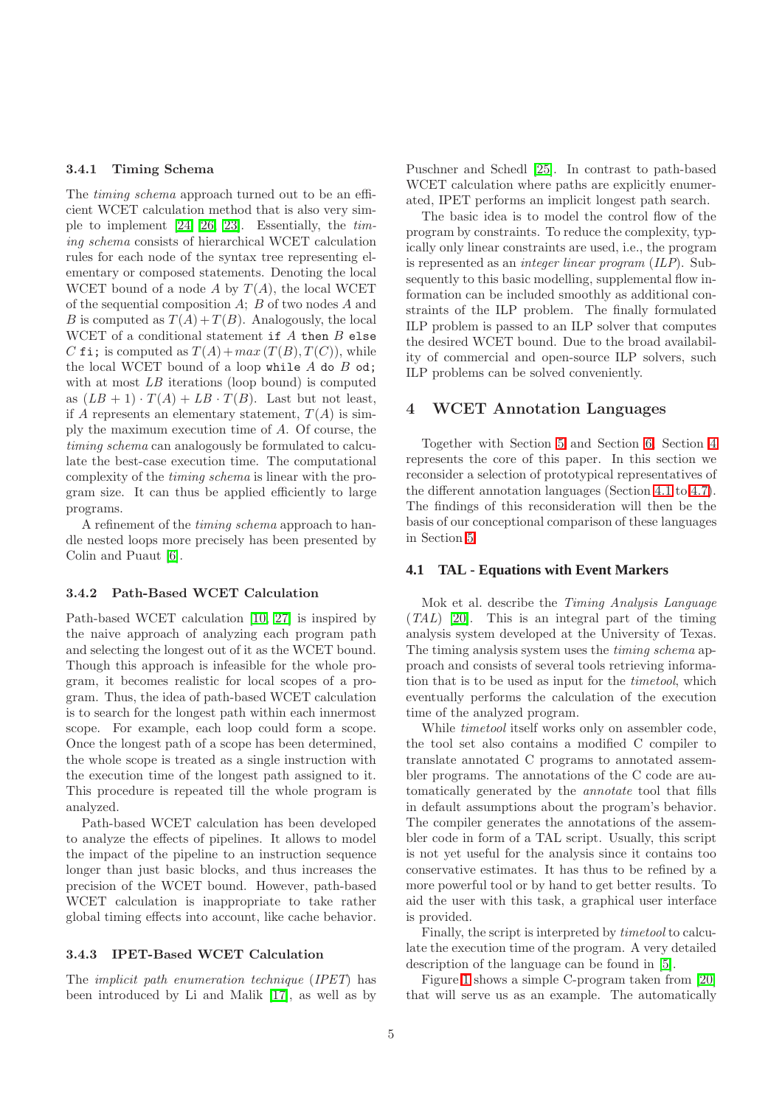#### <span id="page-4-3"></span>3.4.1 Timing Schema

The *timing schema* approach turned out to be an efficient WCET calculation method that is also very simple to implement [\[24,](#page-16-3) [26,](#page-16-4) [23\]](#page-16-5). Essentially, the timing schema consists of hierarchical WCET calculation rules for each node of the syntax tree representing elementary or composed statements. Denoting the local WCET bound of a node A by  $T(A)$ , the local WCET of the sequential composition  $A$ ;  $B$  of two nodes  $A$  and B is computed as  $T(A) + T(B)$ . Analogously, the local WCET of a conditional statement if  $A$  then  $B$  else C fi; is computed as  $T(A) + max (T(B), T(C))$ , while the local WCET bound of a loop while  $A$  do  $B$  od; with at most LB iterations (loop bound) is computed as  $(LB + 1) \cdot T(A) + LB \cdot T(B)$ . Last but not least, if A represents an elementary statement,  $T(A)$  is simply the maximum execution time of A. Of course, the timing schema can analogously be formulated to calculate the best-case execution time. The computational complexity of the timing schema is linear with the program size. It can thus be applied efficiently to large programs.

A refinement of the timing schema approach to handle nested loops more precisely has been presented by Colin and Puaut [\[6\]](#page-16-6).

#### 3.4.2 Path-Based WCET Calculation

Path-based WCET calculation [\[10,](#page-16-7) [27\]](#page-16-8) is inspired by the naive approach of analyzing each program path and selecting the longest out of it as the WCET bound. Though this approach is infeasible for the whole program, it becomes realistic for local scopes of a program. Thus, the idea of path-based WCET calculation is to search for the longest path within each innermost scope. For example, each loop could form a scope. Once the longest path of a scope has been determined, the whole scope is treated as a single instruction with the execution time of the longest path assigned to it. This procedure is repeated till the whole program is analyzed.

Path-based WCET calculation has been developed to analyze the effects of pipelines. It allows to model the impact of the pipeline to an instruction sequence longer than just basic blocks, and thus increases the precision of the WCET bound. However, path-based WCET calculation is inappropriate to take rather global timing effects into account, like cache behavior.

#### <span id="page-4-0"></span>3.4.3 IPET-Based WCET Calculation

The implicit path enumeration technique (IPET) has been introduced by Li and Malik [\[17\]](#page-16-9), as well as by

Puschner and Schedl [\[25\]](#page-16-10). In contrast to path-based WCET calculation where paths are explicitly enumerated, IPET performs an implicit longest path search.

The basic idea is to model the control flow of the program by constraints. To reduce the complexity, typically only linear constraints are used, i.e., the program is represented as an integer linear program (ILP). Subsequently to this basic modelling, supplemental flow information can be included smoothly as additional constraints of the ILP problem. The finally formulated ILP problem is passed to an ILP solver that computes the desired WCET bound. Due to the broad availability of commercial and open-source ILP solvers, such ILP problems can be solved conveniently.

### <span id="page-4-1"></span>4 WCET Annotation Languages

Together with Section [5](#page-10-0) and Section [6,](#page-12-0) Section [4](#page-4-1) represents the core of this paper. In this section we reconsider a selection of prototypical representatives of the different annotation languages (Section [4.1](#page-4-2) to [4.7\)](#page-9-0). The findings of this reconsideration will then be the basis of our conceptional comparison of these languages in Section [5.](#page-10-0)

#### <span id="page-4-2"></span>**4.1 TAL - Equations with Event Markers**

Mok et al. describe the Timing Analysis Language (TAL) [\[20\]](#page-16-11). This is an integral part of the timing analysis system developed at the University of Texas. The timing analysis system uses the timing schema approach and consists of several tools retrieving information that is to be used as input for the timetool, which eventually performs the calculation of the execution time of the analyzed program.

While *timetool* itself works only on assembler code, the tool set also contains a modified C compiler to translate annotated C programs to annotated assembler programs. The annotations of the C code are automatically generated by the annotate tool that fills in default assumptions about the program's behavior. The compiler generates the annotations of the assembler code in form of a TAL script. Usually, this script is not yet useful for the analysis since it contains too conservative estimates. It has thus to be refined by a more powerful tool or by hand to get better results. To aid the user with this task, a graphical user interface is provided.

Finally, the script is interpreted by timetool to calculate the execution time of the program. A very detailed description of the language can be found in [\[5\]](#page-16-12).

Figure [1](#page-5-0) shows a simple C-program taken from [\[20\]](#page-16-11) that will serve us as an example. The automatically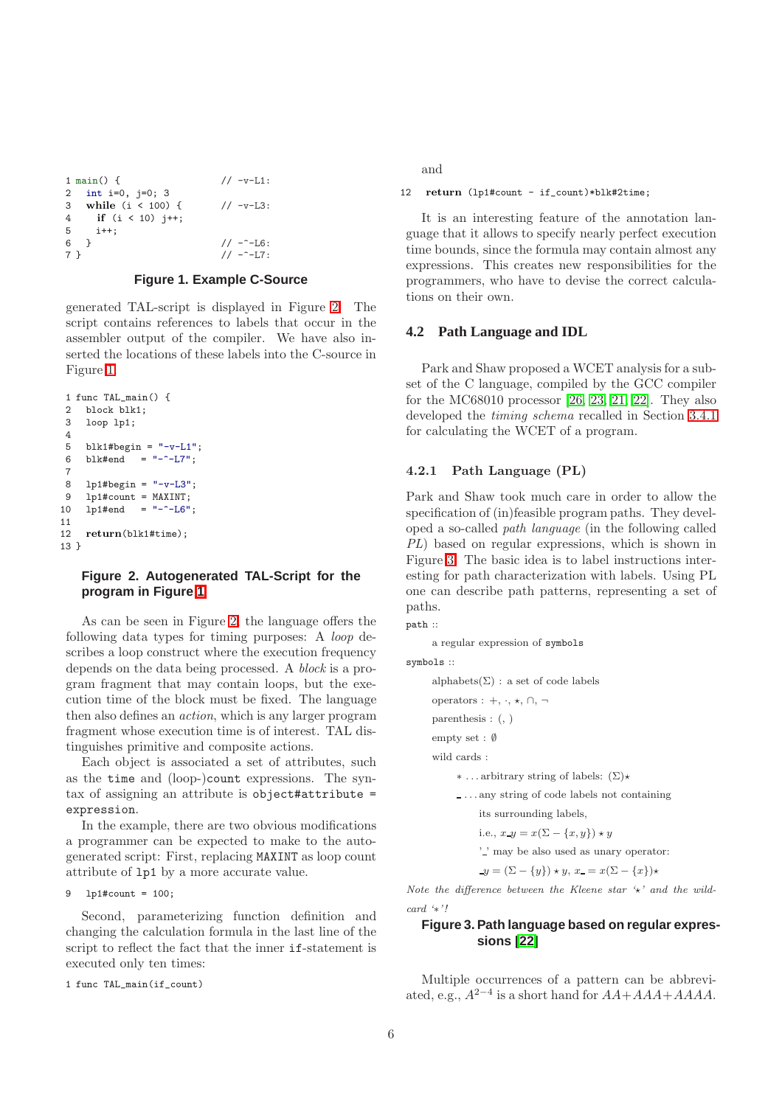| 1 main() $\{$        | $// -v-L1:$  |
|----------------------|--------------|
| 2 int i=0, $j=0$ ; 3 |              |
| 3 while (i < 100) {  | $// -v-L3:$  |
| 4 if $(i < 10)$ i++; |              |
| $5 \t i++;$          |              |
| 6 }                  | $1/ - -L6$ : |
| 7 ኑ                  | $1/ - -17$ : |
|                      |              |

### <span id="page-5-0"></span>**Figure 1. Example C-Source**

generated TAL-script is displayed in Figure [2.](#page-5-1) The script contains references to labels that occur in the assembler output of the compiler. We have also inserted the locations of these labels into the C-source in Figure [1.](#page-5-0)

```
1 func TAL_main() {
2 block blk1;
3 loop lp1;
4
5 blk1#begin = "-v-L1";
6 blk#end = "-^{\sim}-L7";
7
8 lp1#begin = "-v-L3":
9 lp1#count = MAXINT;
10 lp1#end = "--L6";11
12 return(blk1#time);
13 }
```
### <span id="page-5-1"></span>**Figure 2. Autogenerated TAL-Script for the program in Figure [1](#page-5-0)**

As can be seen in Figure [2,](#page-5-1) the language offers the following data types for timing purposes: A loop describes a loop construct where the execution frequency depends on the data being processed. A block is a program fragment that may contain loops, but the execution time of the block must be fixed. The language then also defines an action, which is any larger program fragment whose execution time is of interest. TAL distinguishes primitive and composite actions.

Each object is associated a set of attributes, such as the time and (loop-)count expressions. The syntax of assigning an attribute is object#attribute = expression.

In the example, there are two obvious modifications a programmer can be expected to make to the autogenerated script: First, replacing MAXINT as loop count attribute of lp1 by a more accurate value.

9 lp1#count = 100;

Second, parameterizing function definition and changing the calculation formula in the last line of the script to reflect the fact that the inner if-statement is executed only ten times:

1 func TAL\_main(if\_count)

and

#### 12 return (lp1#count - if\_count)\*blk#2time;

It is an interesting feature of the annotation language that it allows to specify nearly perfect execution time bounds, since the formula may contain almost any expressions. This creates new responsibilities for the programmers, who have to devise the correct calculations on their own.

# **4.2 Path Language and IDL**

Park and Shaw proposed a WCET analysis for a subset of the C language, compiled by the GCC compiler for the MC68010 processor [\[26,](#page-16-4) [23,](#page-16-5) [21,](#page-16-13) [22\]](#page-16-14). They also developed the timing schema recalled in Section [3.4.1](#page-4-3) for calculating the WCET of a program.

#### 4.2.1 Path Language (PL)

Park and Shaw took much care in order to allow the specification of (in)feasible program paths. They developed a so-called path language (in the following called PL) based on regular expressions, which is shown in Figure [3.](#page-5-2) The basic idea is to label instructions interesting for path characterization with labels. Using PL one can describe path patterns, representing a set of paths.

path ::

a regular expression of symbols

symbols ::

```
alphabets(\Sigma): a set of code labels
operators : +, \cdot, \star, \cap, \negparenthesis : (, )
empty set : ∅
wild cards :
      ∗ . . . arbitrary string of labels: (Σ)⋆
      . . . any string of code labels not containing
            its surrounding labels,
            i.e., x \underline{\mathscr{y}} = x(\Sigma - \{x, y\}) \star y' ' may be also used as unary operator:
```

$$
y = (\Sigma - \{y\}) \star y, x = x(\Sigma - \{x\}) \star
$$

<span id="page-5-2"></span>Note the difference between the Kleene star  $\star$  and the wildcard '∗' !

### **Figure 3. Path language based on regular expressions [\[22\]](#page-16-14)**

Multiple occurrences of a pattern can be abbreviated, e.g.,  $A^{2-4}$  is a short hand for  $AA+AAA+AAA$ .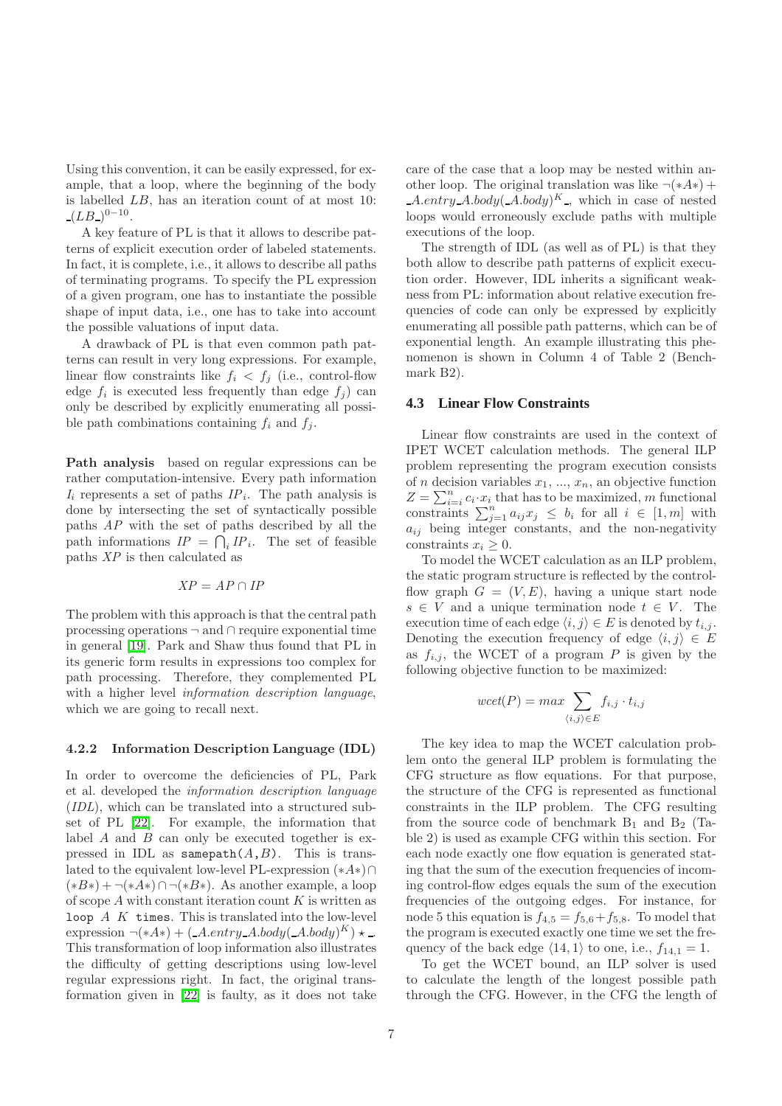Using this convention, it can be easily expressed, for example, that a loop, where the beginning of the body is labelled LB, has an iteration count of at most 10:  $(LB_{-})^{0-10}$ .

A key feature of PL is that it allows to describe patterns of explicit execution order of labeled statements. In fact, it is complete, i.e., it allows to describe all paths of terminating programs. To specify the PL expression of a given program, one has to instantiate the possible shape of input data, i.e., one has to take into account the possible valuations of input data.

A drawback of PL is that even common path patterns can result in very long expressions. For example, linear flow constraints like  $f_i < f_j$  (i.e., control-flow edge  $f_i$  is executed less frequently than edge  $f_j$ ) can only be described by explicitly enumerating all possible path combinations containing  $f_i$  and  $f_j$ .

Path analysis based on regular expressions can be rather computation-intensive. Every path information  $I_i$  represents a set of paths  $IP_i$ . The path analysis is done by intersecting the set of syntactically possible paths AP with the set of paths described by all the path informations  $IP = \bigcap_i IP_i$ . The set of feasible paths XP is then calculated as

$$
XP = AP \cap IP
$$

The problem with this approach is that the central path processing operations ¬ and ∩ require exponential time in general [\[19\]](#page-16-15). Park and Shaw thus found that PL in its generic form results in expressions too complex for path processing. Therefore, they complemented PL with a higher level *information description language*, which we are going to recall next.

#### 4.2.2 Information Description Language (IDL)

In order to overcome the deficiencies of PL, Park et al. developed the information description language (IDL), which can be translated into a structured subset of PL [\[22\]](#page-16-14). For example, the information that label  $A$  and  $B$  can only be executed together is expressed in IDL as  $\texttt{samepath}(A, B)$ . This is translated to the equivalent low-level PL-expression (∗A∗)∩  $(*B*) + \neg(*A*) \cap \neg(*B*)$ . As another example, a loop of scope  $A$  with constant iteration count  $K$  is written as loop  $A$  K times. This is translated into the low-level expression  $\neg(*A*) + (\_A.entry\_A.body(\_A.body^K)*...$ This transformation of loop information also illustrates the difficulty of getting descriptions using low-level regular expressions right. In fact, the original transformation given in [\[22\]](#page-16-14) is faulty, as it does not take care of the case that a loop may be nested within another loop. The original translation was like  $\neg$ (\* $A^*$ ) +  $A. entry\_A. body(\Delta. body)^K$ , which in case of nested loops would erroneously exclude paths with multiple executions of the loop.

The strength of IDL (as well as of PL) is that they both allow to describe path patterns of explicit execution order. However, IDL inherits a significant weakness from PL: information about relative execution frequencies of code can only be expressed by explicitly enumerating all possible path patterns, which can be of exponential length. An example illustrating this phenomenon is shown in Column 4 of Table 2 (Benchmark B2).

#### **4.3 Linear Flow Constraints**

Linear flow constraints are used in the context of IPET WCET calculation methods. The general ILP problem representing the program execution consists of n decision variables  $x_1, ..., x_n$ , an objective function  $Z = \sum_{i=i}^{n} c_i \cdot x_i$  that has to be maximized, m functional constraints  $\sum_{j=1}^{n} a_{ij} x_j \leq b_i$  for all  $i \in [1, m]$  with  $a_{ij}$  being integer constants, and the non-negativity constraints  $x_i \geq 0$ .

To model the WCET calculation as an ILP problem, the static program structure is reflected by the controlflow graph  $G = (V, E)$ , having a unique start node  $s \in V$  and a unique termination node  $t \in V$ . The execution time of each edge  $\langle i, j \rangle \in E$  is denoted by  $t_{i,j}$ . Denoting the execution frequency of edge  $\langle i, j \rangle \in E$ as  $f_{i,j}$ , the WCET of a program P is given by the following objective function to be maximized:

$$
wcet(P) = max \sum_{\langle i,j \rangle \in E} f_{i,j} \cdot t_{i,j}
$$

The key idea to map the WCET calculation problem onto the general ILP problem is formulating the CFG structure as flow equations. For that purpose, the structure of the CFG is represented as functional constraints in the ILP problem. The CFG resulting from the source code of benchmark  $B_1$  and  $B_2$  (Table 2) is used as example CFG within this section. For each node exactly one flow equation is generated stating that the sum of the execution frequencies of incoming control-flow edges equals the sum of the execution frequencies of the outgoing edges. For instance, for node 5 this equation is  $f_{4,5} = f_{5,6} + f_{5,8}$ . To model that the program is executed exactly one time we set the frequency of the back edge  $\langle 14, 1 \rangle$  to one, i.e.,  $f_{14,1} = 1$ .

To get the WCET bound, an ILP solver is used to calculate the length of the longest possible path through the CFG. However, in the CFG the length of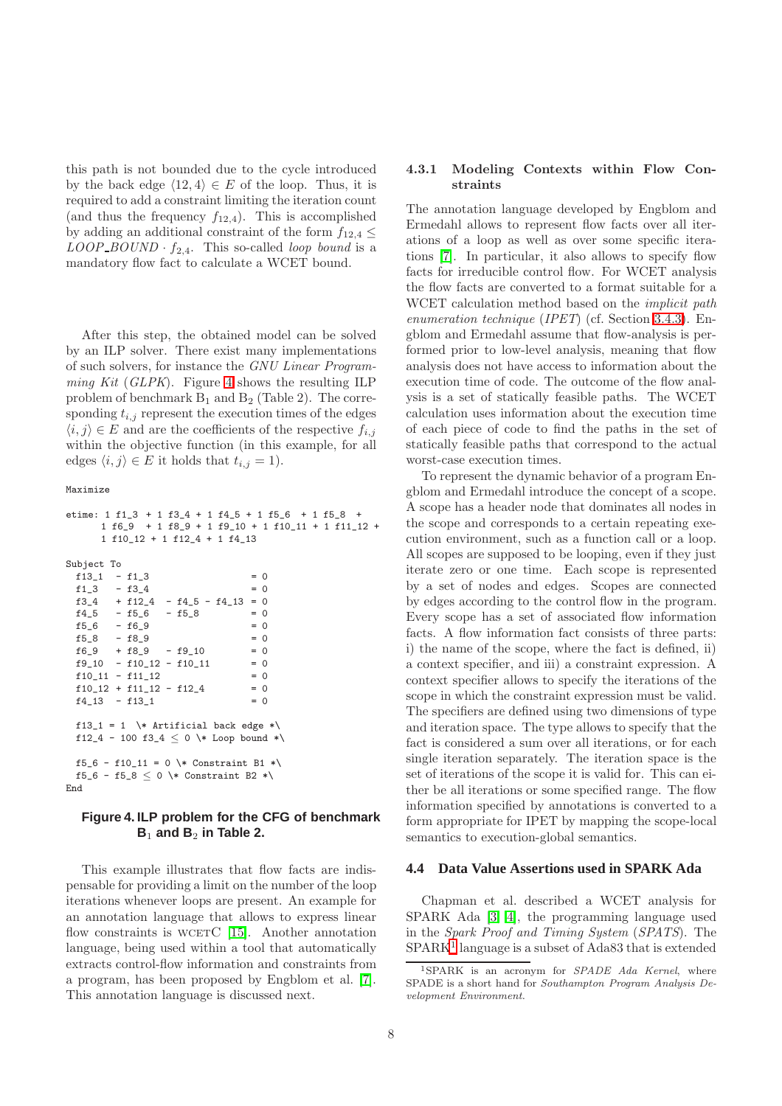this path is not bounded due to the cycle introduced by the back edge  $\langle 12, 4 \rangle \in E$  of the loop. Thus, it is required to add a constraint limiting the iteration count (and thus the frequency  $f_{12,4}$ ). This is accomplished by adding an additional constraint of the form  $f_{12,4} \leq$  $\textit{LOOP\_BOUND}\cdot f_{2,4}.$  This so-called *loop bound* is a mandatory flow fact to calculate a WCET bound.

After this step, the obtained model can be solved by an ILP solver. There exist many implementations of such solvers, for instance the GNU Linear Program-ming Kit (GLPK). Figure [4](#page-7-0) shows the resulting ILP problem of benchmark  $B_1$  and  $B_2$  (Table 2). The corresponding  $t_{i,j}$  represent the execution times of the edges  $\langle i, j \rangle \in E$  and are the coefficients of the respective  $f_{i,j}$ within the objective function (in this example, for all edges  $\langle i, j \rangle \in E$  it holds that  $t_{i,j} = 1$ ).

Maximize

```
etime: 1 f1_3 + 1 f3_4 + 1 f4_5 + 1 f5_6 + 1 f5_8 +1 f6_9 + 1 f8_9 + 1 f9_10 + 1 f10_11 + 1 f11_12 +
      1 f10_12 + 1 f12_4 + 1 f4_13
Subject To
 f13_1 - f1_3 = 0f1_3 - f3_4 = 0<br>f3_4 + f12_4 - f4_5 - f4_13 = 0+ f12_4 - f4_5 - f4_13 = 0f4_5 - f5_6 - f5_8 = 0<br>f5_6 - f6_9 = 0f5_6 - f6_9<br>f5_8 - f8_9- f8_9 = 0f6_9 + f8_9 - f9_10 = 0<br>f9_10 - f10_12 - f10_11 = 0
 f9_10 - f10_12 - f10_11f10_11 - f11_12 = 0f10_12 + f11_12 - f12_4 = 0<br>f4 13 - f13 1 = 0f4_13 - f13_1f13_1 = 1 \* Artificial back edge *\
 f12_4 - 100 f3_4 \leq 0 \* Loop bound *\
 f5_6 - f10_11 = 0 \* Constraint B1 *\
 f5_6 - f5_8 \leq 0 \* Constraint B2 *\
End
```
### <span id="page-7-0"></span>**Figure 4. ILP problem for the CFG of benchmark B**<sup>1</sup> **and B**<sup>2</sup> **in Table 2.**

This example illustrates that flow facts are indispensable for providing a limit on the number of the loop iterations whenever loops are present. An example for an annotation language that allows to express linear flow constraints is WCETC  $[15]$ . Another annotation language, being used within a tool that automatically extracts control-flow information and constraints from a program, has been proposed by Engblom et al. [\[7\]](#page-16-17). This annotation language is discussed next.

### <span id="page-7-2"></span>4.3.1 Modeling Contexts within Flow Constraints

The annotation language developed by Engblom and Ermedahl allows to represent flow facts over all iterations of a loop as well as over some specific iterations [\[7\]](#page-16-17). In particular, it also allows to specify flow facts for irreducible control flow. For WCET analysis the flow facts are converted to a format suitable for a WCET calculation method based on the *implicit path* enumeration technique (IPET) (cf. Section [3.4.3\)](#page-4-0). Engblom and Ermedahl assume that flow-analysis is performed prior to low-level analysis, meaning that flow analysis does not have access to information about the execution time of code. The outcome of the flow analysis is a set of statically feasible paths. The WCET calculation uses information about the execution time of each piece of code to find the paths in the set of statically feasible paths that correspond to the actual worst-case execution times.

To represent the dynamic behavior of a program Engblom and Ermedahl introduce the concept of a scope. A scope has a header node that dominates all nodes in the scope and corresponds to a certain repeating execution environment, such as a function call or a loop. All scopes are supposed to be looping, even if they just iterate zero or one time. Each scope is represented by a set of nodes and edges. Scopes are connected by edges according to the control flow in the program. Every scope has a set of associated flow information facts. A flow information fact consists of three parts: i) the name of the scope, where the fact is defined, ii) a context specifier, and iii) a constraint expression. A context specifier allows to specify the iterations of the scope in which the constraint expression must be valid. The specifiers are defined using two dimensions of type and iteration space. The type allows to specify that the fact is considered a sum over all iterations, or for each single iteration separately. The iteration space is the set of iterations of the scope it is valid for. This can either be all iterations or some specified range. The flow information specified by annotations is converted to a form appropriate for IPET by mapping the scope-local semantics to execution-global semantics.

#### **4.4 Data Value Assertions used in SPARK Ada**

Chapman et al. described a WCET analysis for SPARK Ada [\[3,](#page-15-1) [4\]](#page-16-18), the programming language used in the Spark Proof and Timing System (SPATS). The  $SPARK^{\overline{1}}$  $SPARK^{\overline{1}}$  $SPARK^{\overline{1}}$  language is a subset of Ada83 that is extended

<span id="page-7-1"></span><sup>&</sup>lt;sup>1</sup>SPARK is an acronym for SPADE Ada Kernel, where SPADE is a short hand for Southampton Program Analysis Development Environment.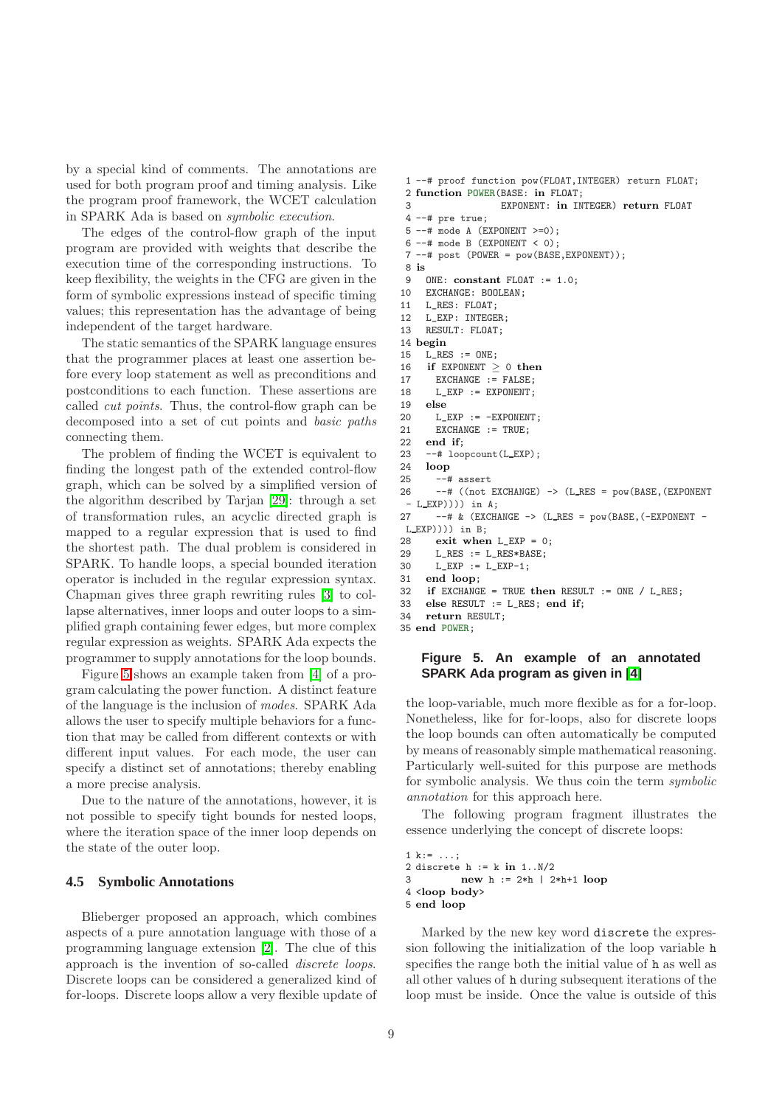by a special kind of comments. The annotations are used for both program proof and timing analysis. Like the program proof framework, the WCET calculation in SPARK Ada is based on symbolic execution.

The edges of the control-flow graph of the input program are provided with weights that describe the execution time of the corresponding instructions. To keep flexibility, the weights in the CFG are given in the form of symbolic expressions instead of specific timing values; this representation has the advantage of being independent of the target hardware.

The static semantics of the SPARK language ensures that the programmer places at least one assertion before every loop statement as well as preconditions and postconditions to each function. These assertions are called cut points. Thus, the control-flow graph can be decomposed into a set of cut points and basic paths connecting them.

The problem of finding the WCET is equivalent to finding the longest path of the extended control-flow graph, which can be solved by a simplified version of the algorithm described by Tarjan [\[29\]](#page-16-19): through a set of transformation rules, an acyclic directed graph is mapped to a regular expression that is used to find the shortest path. The dual problem is considered in SPARK. To handle loops, a special bounded iteration operator is included in the regular expression syntax. Chapman gives three graph rewriting rules [\[3\]](#page-15-1) to collapse alternatives, inner loops and outer loops to a simplified graph containing fewer edges, but more complex regular expression as weights. SPARK Ada expects the programmer to supply annotations for the loop bounds.

Figure [5](#page-8-0) shows an example taken from [\[4\]](#page-16-18) of a program calculating the power function. A distinct feature of the language is the inclusion of modes. SPARK Ada allows the user to specify multiple behaviors for a function that may be called from different contexts or with different input values. For each mode, the user can specify a distinct set of annotations; thereby enabling a more precise analysis.

Due to the nature of the annotations, however, it is not possible to specify tight bounds for nested loops, where the iteration space of the inner loop depends on the state of the outer loop.

### **4.5 Symbolic Annotations**

Blieberger proposed an approach, which combines aspects of a pure annotation language with those of a programming language extension [\[2\]](#page-15-2). The clue of this approach is the invention of so-called discrete loops. Discrete loops can be considered a generalized kind of for-loops. Discrete loops allow a very flexible update of

```
1 --# proof function pow(FLOAT,INTEGER) return FLOAT;
 2 function POWER(BASE: in FLOAT;
3 EXPONENT: in INTEGER) return FLOAT
 4 --# pre true;
5 --# mode A (EXPONENT >=0);
 6 --# mode B (EXPONENT < 0):
 7 --# post (POWER = pow(BASE,EXPONENT));
8 is<br>9ONE: constant FLOAT := 1.0;
10 EXCHANGE: BOOLEAN;
11 L_RES: FLOAT;
12 L_EXP: INTEGER;
13 RESULT: FLOAT;
14 begin
15 L_RES := ONE;
16 if EXPONENT \geq 0 then<br>17 EXCHANGE := FALSE:
      EXCHANGE := FALSE;
18 L_EXP := EXPONENT;
19 else
20 L_EXP := -EXPONENT;
21 EXCHANGE := TRUE;<br>22 end if;
    end if:
23 --# loopcount(L EXP);
24 loop
25 -+# assert
26 --# ((not EXCHANGE) -> (L RES = pow(BASE,(EXPONENT
 - L_EXP)))) in A;
27 --# & (EXCHANGE -> (L_RES = pow(BASE, (-EXPONENT -
L EXP))) in B;<br>28 exit when
28 exit when LEXP = 0;<br>29 LRES := LRES * BASE;
      L<sub>RES</sub> := L<sub>RES</sub>*BASE;
30 L_EXP := L_EXP-1;
31 end loop;
32 if EXCHANGE = TRUE then RESULT := ONE / L_RES;
33 else RESULT := L_RES; end if;
34 return RESULT;
35 end POWER;
```
### <span id="page-8-0"></span>**Figure 5. An example of an annotated SPARK Ada program as given in [\[4\]](#page-16-18)**

the loop-variable, much more flexible as for a for-loop. Nonetheless, like for for-loops, also for discrete loops the loop bounds can often automatically be computed by means of reasonably simple mathematical reasoning. Particularly well-suited for this purpose are methods for symbolic analysis. We thus coin the term symbolic annotation for this approach here.

The following program fragment illustrates the essence underlying the concept of discrete loops:

```
1 \; k := \ldots;2 discrete h := k in 1..N/23 new h := 2*h | 2*h+1 loop
4 <loop body>
5 end loop
```
Marked by the new key word discrete the expression following the initialization of the loop variable h specifies the range both the initial value of h as well as all other values of h during subsequent iterations of the loop must be inside. Once the value is outside of this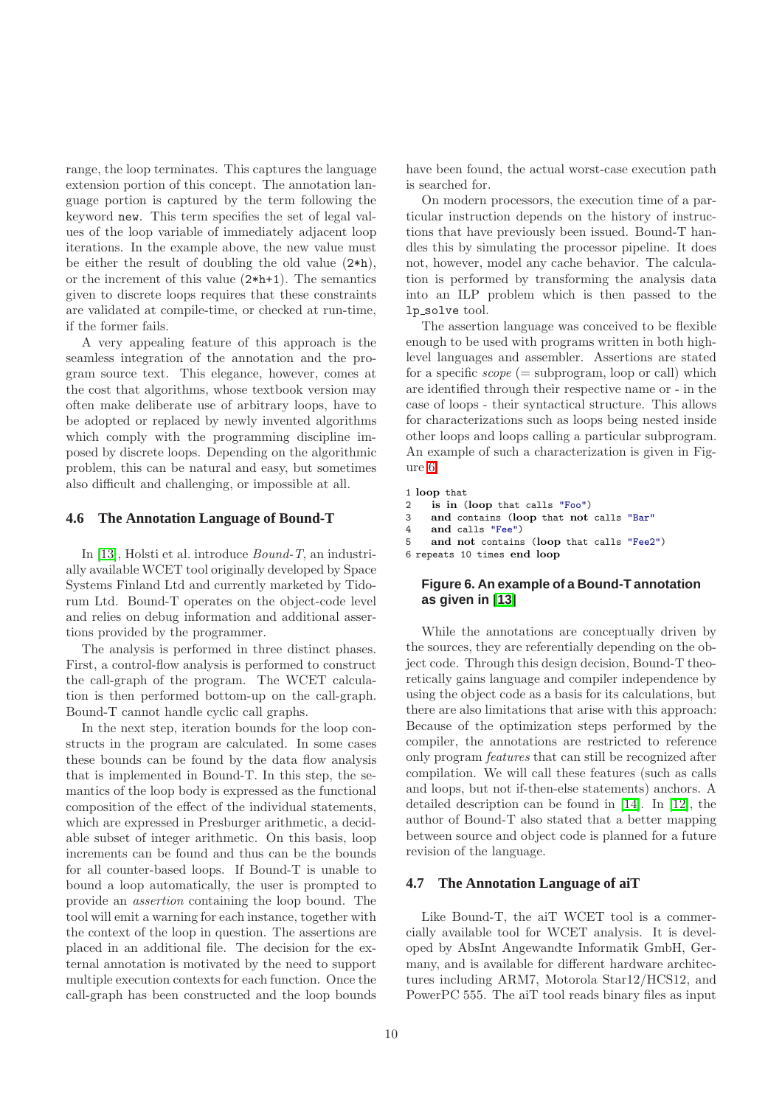range, the loop terminates. This captures the language extension portion of this concept. The annotation language portion is captured by the term following the keyword new. This term specifies the set of legal values of the loop variable of immediately adjacent loop iterations. In the example above, the new value must be either the result of doubling the old value (2\*h), or the increment of this value (2\*h+1). The semantics given to discrete loops requires that these constraints are validated at compile-time, or checked at run-time, if the former fails.

A very appealing feature of this approach is the seamless integration of the annotation and the program source text. This elegance, however, comes at the cost that algorithms, whose textbook version may often make deliberate use of arbitrary loops, have to be adopted or replaced by newly invented algorithms which comply with the programming discipline imposed by discrete loops. Depending on the algorithmic problem, this can be natural and easy, but sometimes also difficult and challenging, or impossible at all.

### **4.6 The Annotation Language of Bound-T**

In [\[13\]](#page-16-20), Holsti et al. introduce Bound-T, an industrially available WCET tool originally developed by Space Systems Finland Ltd and currently marketed by Tidorum Ltd. Bound-T operates on the object-code level and relies on debug information and additional assertions provided by the programmer.

The analysis is performed in three distinct phases. First, a control-flow analysis is performed to construct the call-graph of the program. The WCET calculation is then performed bottom-up on the call-graph. Bound-T cannot handle cyclic call graphs.

In the next step, iteration bounds for the loop constructs in the program are calculated. In some cases these bounds can be found by the data flow analysis that is implemented in Bound-T. In this step, the semantics of the loop body is expressed as the functional composition of the effect of the individual statements, which are expressed in Presburger arithmetic, a decidable subset of integer arithmetic. On this basis, loop increments can be found and thus can be the bounds for all counter-based loops. If Bound-T is unable to bound a loop automatically, the user is prompted to provide an assertion containing the loop bound. The tool will emit a warning for each instance, together with the context of the loop in question. The assertions are placed in an additional file. The decision for the external annotation is motivated by the need to support multiple execution contexts for each function. Once the call-graph has been constructed and the loop bounds have been found, the actual worst-case execution path is searched for.

On modern processors, the execution time of a particular instruction depends on the history of instructions that have previously been issued. Bound-T handles this by simulating the processor pipeline. It does not, however, model any cache behavior. The calculation is performed by transforming the analysis data into an ILP problem which is then passed to the lp solve tool.

The assertion language was conceived to be flexible enough to be used with programs written in both highlevel languages and assembler. Assertions are stated for a specific *scope* ( $=$  subprogram, loop or call) which are identified through their respective name or - in the case of loops - their syntactical structure. This allows for characterizations such as loops being nested inside other loops and loops calling a particular subprogram. An example of such a characterization is given in Figure [6.](#page-9-1)

1 loop that

```
2 is in (loop that calls "Foo")
3 and contains (loop that not calls "Bar"
```

```
4 and calls "Fee")
```

```
5 and not contains (loop that calls "Fee2")
```
<span id="page-9-1"></span>6 repeats 10 times end loop

# **Figure 6. An example of a Bound-T annotation as given in [\[13\]](#page-16-20)**

While the annotations are conceptually driven by the sources, they are referentially depending on the object code. Through this design decision, Bound-T theoretically gains language and compiler independence by using the object code as a basis for its calculations, but there are also limitations that arise with this approach: Because of the optimization steps performed by the compiler, the annotations are restricted to reference only program features that can still be recognized after compilation. We will call these features (such as calls and loops, but not if-then-else statements) anchors. A detailed description can be found in [\[14\]](#page-16-21). In [\[12\]](#page-16-22), the author of Bound-T also stated that a better mapping between source and object code is planned for a future revision of the language.

# <span id="page-9-0"></span>**4.7 The Annotation Language of aiT**

Like Bound-T, the aiT WCET tool is a commercially available tool for WCET analysis. It is developed by AbsInt Angewandte Informatik GmbH, Germany, and is available for different hardware architectures including ARM7, Motorola Star12/HCS12, and PowerPC 555. The aiT tool reads binary files as input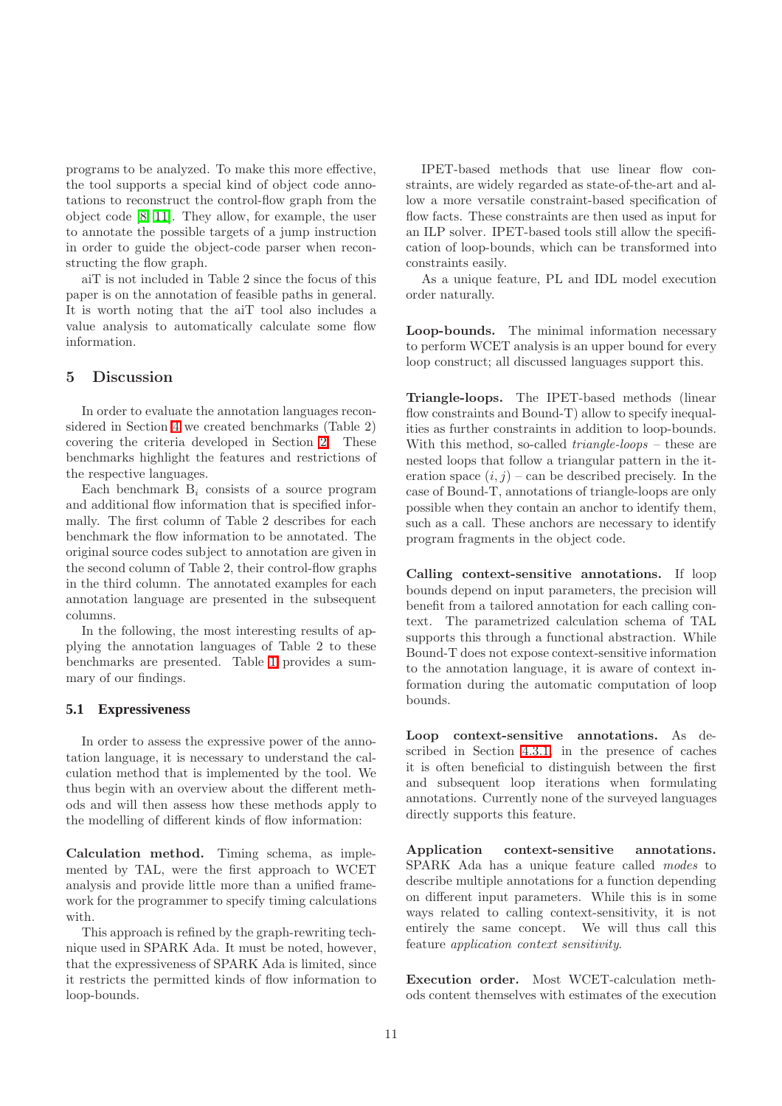programs to be analyzed. To make this more effective, the tool supports a special kind of object code annotations to reconstruct the control-flow graph from the object code [\[8,](#page-16-23) [11\]](#page-16-24). They allow, for example, the user to annotate the possible targets of a jump instruction in order to guide the object-code parser when reconstructing the flow graph.

aiT is not included in Table 2 since the focus of this paper is on the annotation of feasible paths in general. It is worth noting that the aiT tool also includes a value analysis to automatically calculate some flow information.

### <span id="page-10-0"></span>5 Discussion

In order to evaluate the annotation languages reconsidered in Section [4](#page-4-1) we created benchmarks (Table 2) covering the criteria developed in Section [2.](#page-1-0) These benchmarks highlight the features and restrictions of the respective languages.

Each benchmark  $B_i$  consists of a source program and additional flow information that is specified informally. The first column of Table 2 describes for each benchmark the flow information to be annotated. The original source codes subject to annotation are given in the second column of Table 2, their control-flow graphs in the third column. The annotated examples for each annotation language are presented in the subsequent columns.

In the following, the most interesting results of applying the annotation languages of Table 2 to these benchmarks are presented. Table [1](#page-11-0) provides a summary of our findings.

### **5.1 Expressiveness**

In order to assess the expressive power of the annotation language, it is necessary to understand the calculation method that is implemented by the tool. We thus begin with an overview about the different methods and will then assess how these methods apply to the modelling of different kinds of flow information:

Calculation method. Timing schema, as implemented by TAL, were the first approach to WCET analysis and provide little more than a unified framework for the programmer to specify timing calculations with.

This approach is refined by the graph-rewriting technique used in SPARK Ada. It must be noted, however, that the expressiveness of SPARK Ada is limited, since it restricts the permitted kinds of flow information to loop-bounds.

IPET-based methods that use linear flow constraints, are widely regarded as state-of-the-art and allow a more versatile constraint-based specification of flow facts. These constraints are then used as input for an ILP solver. IPET-based tools still allow the specification of loop-bounds, which can be transformed into constraints easily.

As a unique feature, PL and IDL model execution order naturally.

Loop-bounds. The minimal information necessary to perform WCET analysis is an upper bound for every loop construct; all discussed languages support this.

Triangle-loops. The IPET-based methods (linear flow constraints and Bound-T) allow to specify inequalities as further constraints in addition to loop-bounds. With this method, so-called *triangle-loops* – these are nested loops that follow a triangular pattern in the iteration space  $(i, j)$  – can be described precisely. In the case of Bound-T, annotations of triangle-loops are only possible when they contain an anchor to identify them, such as a call. These anchors are necessary to identify program fragments in the object code.

Calling context-sensitive annotations. If loop bounds depend on input parameters, the precision will benefit from a tailored annotation for each calling context. The parametrized calculation schema of TAL supports this through a functional abstraction. While Bound-T does not expose context-sensitive information to the annotation language, it is aware of context information during the automatic computation of loop bounds.

Loop context-sensitive annotations. As described in Section [4.3.1,](#page-7-2) in the presence of caches it is often beneficial to distinguish between the first and subsequent loop iterations when formulating annotations. Currently none of the surveyed languages directly supports this feature.

Application context-sensitive annotations. SPARK Ada has a unique feature called modes to describe multiple annotations for a function depending on different input parameters. While this is in some ways related to calling context-sensitivity, it is not entirely the same concept. We will thus call this feature application context sensitivity.

Execution order. Most WCET-calculation methods content themselves with estimates of the execution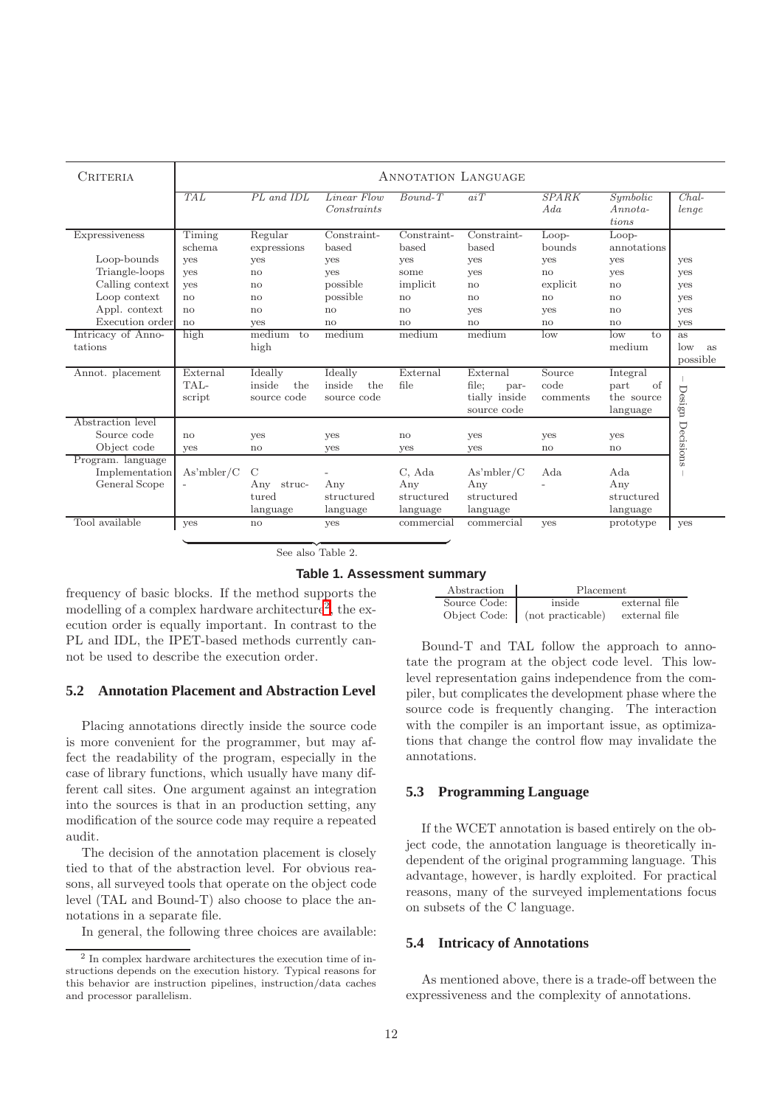| CRITERIA           | <b>ANNOTATION LANGUAGE</b> |                |               |              |               |              |                     |                  |
|--------------------|----------------------------|----------------|---------------|--------------|---------------|--------------|---------------------|------------------|
|                    | <b>TAL</b>                 | $PL$ and $IDL$ | Linear Flow   | $Bound-T$    | aiT           | SPARK        | Symbolic            | $Chal-$          |
|                    |                            |                | Constraints   |              |               | Ada          | $An nota-$<br>tions | lenge            |
| Expressiveness     | Timing                     | Regular        | Constraint-   | Constraint-  | Constraint-   | $Loop-$      | Loop-               |                  |
|                    | schema                     | expressions    | based         | based        | based         | bounds       | annotations         |                  |
| Loop-bounds        | <b>ves</b>                 | yes            | <b>ves</b>    | yes          | yes           | yes          | yes                 | yes              |
| Triangle-loops     | <b>ves</b>                 | no             | <b>ves</b>    | some         | yes           | no           | <b>ves</b>          | yes              |
| Calling context    | <b>ves</b>                 | no             | possible      | implicit     | $\mathbf{n}$  | explicit     | no                  | yes              |
| Loop context       | no                         | no             | possible      | $\mathbf{n}$ | $\mathbf{n}$  | $\mathbf{n}$ | no                  | yes              |
| Appl. context      | no                         | no             | no            | no           | yes           | yes          | no                  | yes              |
| Execution order    | no                         | yes            | no            | no           | no            | no           | no                  | yes              |
| Intricacy of Anno- | high                       | medium<br>to   | medium        | medium       | medium        | $\log$       | low<br>to           | as               |
| tations            |                            | high           |               |              |               |              | medium              | low<br><b>as</b> |
|                    |                            |                |               |              |               |              |                     | possible         |
| Annot. placement   | External                   | Ideally        | Ideally       | External     | External      | Source       | Integral            |                  |
|                    | TAL-                       | inside<br>the  | inside<br>the | file         | file;<br>par- | code         | part<br>of          |                  |
|                    | script                     | source code    | source code   |              | tially inside | comments     | the source          |                  |
|                    |                            |                |               |              | source code   |              | language            | Design Decisions |
| Abstraction level  |                            |                |               |              |               |              |                     |                  |
| Source code        | no                         | yes            | yes           | no           | yes           | yes          | yes                 |                  |
| Object code        | <b>ves</b>                 | $\mathbf{n}$   | yes           | yes          | yes           | $\mathbf{n}$ | no                  |                  |
| Program. language  |                            |                |               |              |               |              |                     |                  |
| Implementation     | As'mbler/C                 | $\mathcal{C}$  |               | C, Ada       | As'mbler/C    | Ada          | Ada                 |                  |
| General Scope      | $\overline{\phantom{a}}$   | struc-<br>Any  | Any           | Any          | Any           |              | Any                 |                  |
|                    |                            | tured          | structured    | structured   | structured    |              | structured          |                  |
|                    |                            | language       | language      | language     | language      |              | language            |                  |
| Tool available     | yes                        | $\mathbf{n}$   | yes           | commercial   | commercial    | <b>ves</b>   | prototype           | yes              |

see also Table 2.

**Table 1. Assessment summary**

<span id="page-11-0"></span>frequency of basic blocks. If the method supports the modelling of a complex hardware architecture<sup>[2](#page-11-1)</sup>, the execution order is equally important. In contrast to the PL and IDL, the IPET-based methods currently cannot be used to describe the execution order.

### **5.2 Annotation Placement and Abstraction Level**

Placing annotations directly inside the source code is more convenient for the programmer, but may affect the readability of the program, especially in the case of library functions, which usually have many different call sites. One argument against an integration into the sources is that in an production setting, any modification of the source code may require a repeated audit.

The decision of the annotation placement is closely tied to that of the abstraction level. For obvious reasons, all surveyed tools that operate on the object code level (TAL and Bound-T) also choose to place the annotations in a separate file.

In general, the following three choices are available:

| Abstraction  | Placement                      |               |  |
|--------------|--------------------------------|---------------|--|
| Source Code: | inside                         | external file |  |
|              | Object Code: (not practicable) | external file |  |

Bound-T and TAL follow the approach to annotate the program at the object code level. This lowlevel representation gains independence from the compiler, but complicates the development phase where the source code is frequently changing. The interaction with the compiler is an important issue, as optimizations that change the control flow may invalidate the annotations.

#### **5.3 Programming Language**

If the WCET annotation is based entirely on the object code, the annotation language is theoretically independent of the original programming language. This advantage, however, is hardly exploited. For practical reasons, many of the surveyed implementations focus on subsets of the C language.

### **5.4 Intricacy of Annotations**

As mentioned above, there is a trade-off between the expressiveness and the complexity of annotations.

<span id="page-11-1"></span><sup>2</sup> In complex hardware architectures the execution time of instructions depends on the execution history. Typical reasons for this behavior are instruction pipelines, instruction/data caches and processor parallelism.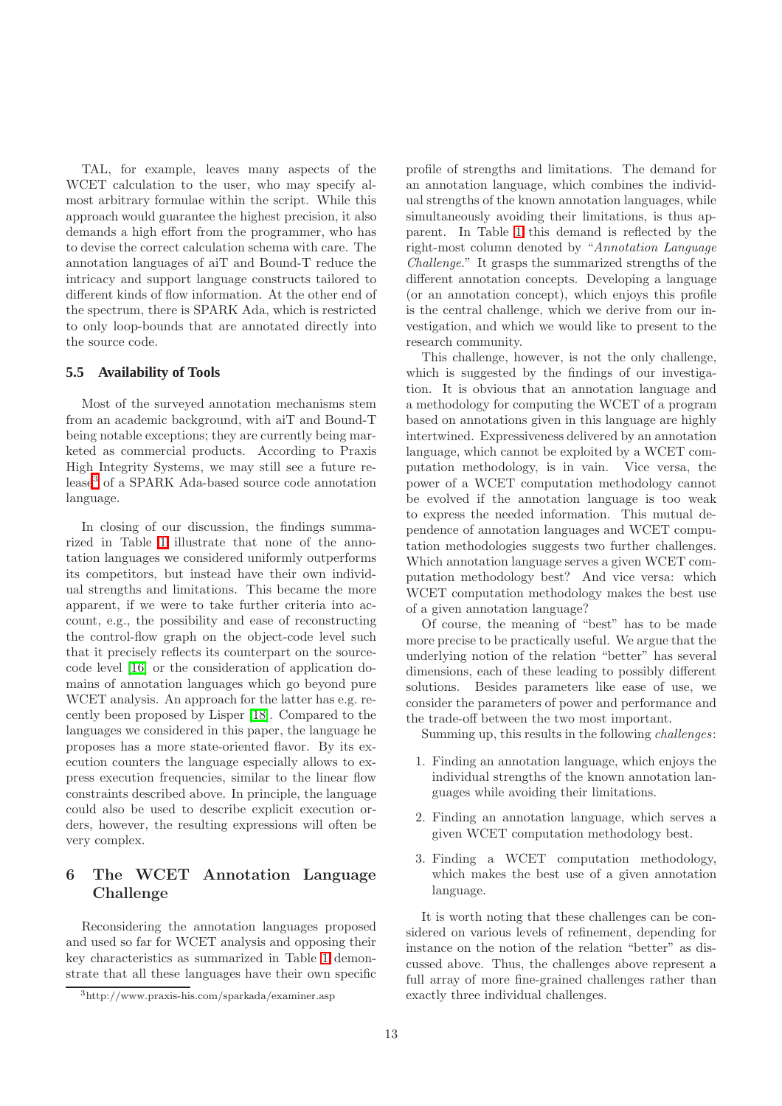TAL, for example, leaves many aspects of the WCET calculation to the user, who may specify almost arbitrary formulae within the script. While this approach would guarantee the highest precision, it also demands a high effort from the programmer, who has to devise the correct calculation schema with care. The annotation languages of aiT and Bound-T reduce the intricacy and support language constructs tailored to different kinds of flow information. At the other end of the spectrum, there is SPARK Ada, which is restricted to only loop-bounds that are annotated directly into the source code.

### **5.5 Availability of Tools**

Most of the surveyed annotation mechanisms stem from an academic background, with aiT and Bound-T being notable exceptions; they are currently being marketed as commercial products. According to Praxis High Integrity Systems, we may still see a future release[3](#page-12-1) of a SPARK Ada-based source code annotation language.

In closing of our discussion, the findings summarized in Table [1](#page-11-0) illustrate that none of the annotation languages we considered uniformly outperforms its competitors, but instead have their own individual strengths and limitations. This became the more apparent, if we were to take further criteria into account, e.g., the possibility and ease of reconstructing the control-flow graph on the object-code level such that it precisely reflects its counterpart on the sourcecode level [\[16\]](#page-16-25) or the consideration of application domains of annotation languages which go beyond pure WCET analysis. An approach for the latter has e.g. recently been proposed by Lisper [\[18\]](#page-16-26). Compared to the languages we considered in this paper, the language he proposes has a more state-oriented flavor. By its execution counters the language especially allows to express execution frequencies, similar to the linear flow constraints described above. In principle, the language could also be used to describe explicit execution orders, however, the resulting expressions will often be very complex.

# <span id="page-12-0"></span>6 The WCET Annotation Language Challenge

Reconsidering the annotation languages proposed and used so far for WCET analysis and opposing their key characteristics as summarized in Table [1](#page-11-0) demonstrate that all these languages have their own specific profile of strengths and limitations. The demand for an annotation language, which combines the individual strengths of the known annotation languages, while simultaneously avoiding their limitations, is thus apparent. In Table [1](#page-11-0) this demand is reflected by the right-most column denoted by "Annotation Language Challenge." It grasps the summarized strengths of the different annotation concepts. Developing a language (or an annotation concept), which enjoys this profile is the central challenge, which we derive from our investigation, and which we would like to present to the research community.

This challenge, however, is not the only challenge, which is suggested by the findings of our investigation. It is obvious that an annotation language and a methodology for computing the WCET of a program based on annotations given in this language are highly intertwined. Expressiveness delivered by an annotation language, which cannot be exploited by a WCET computation methodology, is in vain. Vice versa, the power of a WCET computation methodology cannot be evolved if the annotation language is too weak to express the needed information. This mutual dependence of annotation languages and WCET computation methodologies suggests two further challenges. Which annotation language serves a given WCET computation methodology best? And vice versa: which WCET computation methodology makes the best use of a given annotation language?

Of course, the meaning of "best" has to be made more precise to be practically useful. We argue that the underlying notion of the relation "better" has several dimensions, each of these leading to possibly different solutions. Besides parameters like ease of use, we consider the parameters of power and performance and the trade-off between the two most important.

Summing up, this results in the following challenges:

- 1. Finding an annotation language, which enjoys the individual strengths of the known annotation languages while avoiding their limitations.
- 2. Finding an annotation language, which serves a given WCET computation methodology best.
- 3. Finding a WCET computation methodology, which makes the best use of a given annotation language.

It is worth noting that these challenges can be considered on various levels of refinement, depending for instance on the notion of the relation "better" as discussed above. Thus, the challenges above represent a full array of more fine-grained challenges rather than exactly three individual challenges.

<span id="page-12-1"></span><sup>3</sup>http://www.praxis-his.com/sparkada/examiner.asp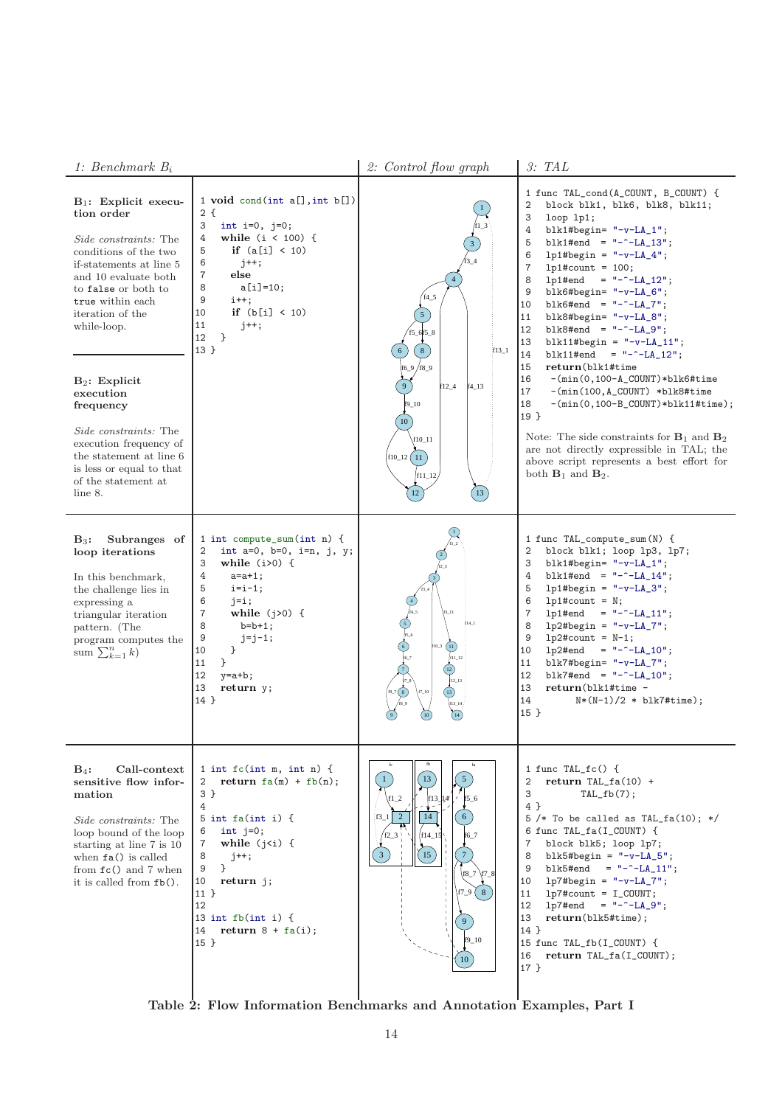| 1: Benchmark $B_i$                                                                                                                                                                                                                                                                                                                                                                                                               |                                                                                                                                                                                                                                                                                                           | 2: Control flow graph                                                                                                                                | 3: TAL                                                                                                                                                                                                                                                                                                                                                                                                                                                                                                                                                                                                                                                                                                                                                                                                                                                    |
|----------------------------------------------------------------------------------------------------------------------------------------------------------------------------------------------------------------------------------------------------------------------------------------------------------------------------------------------------------------------------------------------------------------------------------|-----------------------------------------------------------------------------------------------------------------------------------------------------------------------------------------------------------------------------------------------------------------------------------------------------------|------------------------------------------------------------------------------------------------------------------------------------------------------|-----------------------------------------------------------------------------------------------------------------------------------------------------------------------------------------------------------------------------------------------------------------------------------------------------------------------------------------------------------------------------------------------------------------------------------------------------------------------------------------------------------------------------------------------------------------------------------------------------------------------------------------------------------------------------------------------------------------------------------------------------------------------------------------------------------------------------------------------------------|
| $B_1$ : Explicit execu-<br>tion order<br><i>Side constraints:</i> The<br>conditions of the two<br>if-statements at line 5<br>and 10 evaluate both<br>to false or both to<br>true within each<br>iteration of the<br>while-loop.<br>$B_2$ : Explicit<br>execution<br>frequency<br><i>Side constraints:</i> The<br>execution frequency of<br>the statement at line 6<br>is less or equal to that<br>of the statement at<br>line 8. | 1 void cond(int $a[]$ , int $b[]$ )<br>2f<br>3<br>$int i=0, j=0;$<br>while $(i < 100)$ {<br>4<br>5<br>if $(a[i] < 10)$<br>6<br>$j++;$<br>$\overline{7}$<br>else<br>8<br>$a[i] = 10;$<br>9<br>$i++;$<br>10<br>if $(b[i] < 10)$<br>11<br>$j++;$<br>12<br>$\mathcal{F}$<br>13 }                              | $f4_5$<br>5<br>$f5_6f5_8$<br>$f13_1$<br>6<br>/f8 9<br>f6_9<br>$f12_4$<br>$f4_13$<br>$0 - 10$<br>$10\,$<br>$f10_11$<br>$f10_12$ (11<br>$f11_12$<br>13 | 1 func TAL_cond(A_COUNT, B_COUNT) {<br>2<br>block blk1, blk6, blk8, blk11;<br>3<br>loop lp1;<br>4<br>blk1#begin= $"$ -v-LA_1";<br>5<br>blk1#end = "- $-LA_13$ ";<br>6<br>$lp1#begin = "–v-LA_4";$<br>$\overline{7}$<br>$lp1#count = 100;$<br>8<br>lp1#end<br>$=$ "-^-LA_12";<br>9<br>blk6#begin= $"$ -v-LA_6";<br>blk6#end = $"$ - $-LA_7"$ ;<br>10<br>11<br>blk8#begin= "-v-LA_8";<br>12<br>$blk8#end = "- - LA_9";$<br>13<br>blk11#begin = "-v-LA_11";<br>14<br>blk11#end<br>$=$ "-^-LA_12";<br>15<br>return(blk1#time<br>16<br>$-(min(0, 100 - A_CCOUNT)*blk6#time$<br>17<br>$-(min(100, A_CCOUNT) *blk8#time)$<br>18<br>$-(min(0, 100-B_CCOUNT)*blk11#time);$<br>19 <sup>3</sup><br>Note: The side constraints for $B_1$ and $B_2$<br>are not directly expressible in TAL; the<br>above script represents a best effort for<br>both $B_1$ and $B_2$ . |
| Subranges of<br>$B_3$ :<br>loop iterations<br>In this benchmark,<br>the challenge lies in<br>expressing a<br>triangular iteration<br>pattern. (The<br>program computes the<br>sum $\sum_{k=1}^{n} k$                                                                                                                                                                                                                             | 1 int compute_sum(int n) {<br>2<br>int $a=0$ , $b=0$ , $i=n$ , j, y;<br>3<br>while $(i>0)$ {<br>$\overline{4}$<br>$a=a+1$ ;<br>5<br>$i=i-1$ ;<br>6<br>$i=i;$<br>$\boldsymbol{7}$<br>while $(j>0)$ {<br>8<br>$b=b+1$ ;<br>9<br>$j=j-1;$<br>10<br>}<br>11<br>}<br>12<br>$y=a+b;$<br>13<br>return y;<br>14 } | $B_11$<br>$f14_1$<br>$\left(11\right)$<br>$f10_3$<br>$f11_12$<br>(12)<br>12_13<br>$\binom{13}{}$<br>$13_{-14}$<br>$\sqrt{14}$                        | 1 func TAL_compute_sum(N) {<br>2<br>block blk1; loop lp3, lp7;<br>3<br>blk1#begin= "-v-LA_1";<br>$\overline{4}$<br>blk1#end = "- $-LA_14$ ";<br>5<br>$1p1#begin = "–v-LA_3";$<br>6<br>$1p1#count = N;$<br>$\overline{7}$<br>$1p1#end = "--LA_11";$<br>8<br>$1p2#begin = " -v-LA_7" ;$<br>9<br>$lp2#count = N-1;$<br>10<br>$1p2\#end$<br>$=$ "-^-LA_10";<br>11<br>blk7#begin= "-v-LA_7";<br>12<br>$blk7#end = "--LA_10";$<br>13<br>return(blk1#time -<br>14<br>$N*(N-1)/2 * blk7#time);$<br>$15 \}$                                                                                                                                                                                                                                                                                                                                                        |
| $\mathbf{B}_4$ :<br>Call-context<br>sensitive flow infor-<br>mation<br><i>Side constraints:</i> The<br>loop bound of the loop<br>starting at line 7 is 10<br>when $fa()$ is called<br>from $fc()$ and $7$ when<br>it is called from $fb()$ .                                                                                                                                                                                     | 1 int $fc(int m, int n)$ {<br>return $fa(m) + fb(n)$ ;<br>2<br>3 }<br>$\overline{4}$<br>$5$ int fa(int i) {<br>$int j=0;$<br>6<br>7<br>while $(j\leq i) \leq$<br>8<br>$j++;$<br>9<br>$\mathcal{F}$<br>10<br>return $j$ ;<br>$11 \}$<br>12<br>13 int $fb(int i)$ {<br>14<br>$return 8 + fa(i);$<br>$15$ }  | 13<br>1<br>f13 $\frac{14}{3}$<br>$f3_1$<br>2<br>14<br>$f14_15$<br>$f2_3$<br>$f6_7$<br>15<br>3<br>f8 7<br>f9_10<br>10                                 | 1 func TAL_fc() $\{$<br>2<br>return $TAL_fa(10)$ +<br>3<br>$TAL_fb(7);$<br>4 }<br>$5$ /* To be called as TAL_fa(10); */<br>6 func TAL_fa(I_COUNT) {<br>$\overline{7}$<br>block blk5; loop lp7;<br>8<br>blk5#begin = $"$ -v-LA_5";<br>9<br>blk5#end = "- $-LA_11$ ";<br>$1p7#begin = "-v-LA_7";$<br>10<br>11<br>$lp7\#count = I_COUNT;$<br>12<br>$1p7#end = "--LA_9";$<br>13<br>return(blk5#time);<br>$14$ }<br>15 func TAL_fb(I_COUNT) {<br>16<br>$return TAL_fa(I_CQUNT);$<br>17 }                                                                                                                                                                                                                                                                                                                                                                       |

Table 2: Flow Information Benchmarks and Annotation Examples, Part I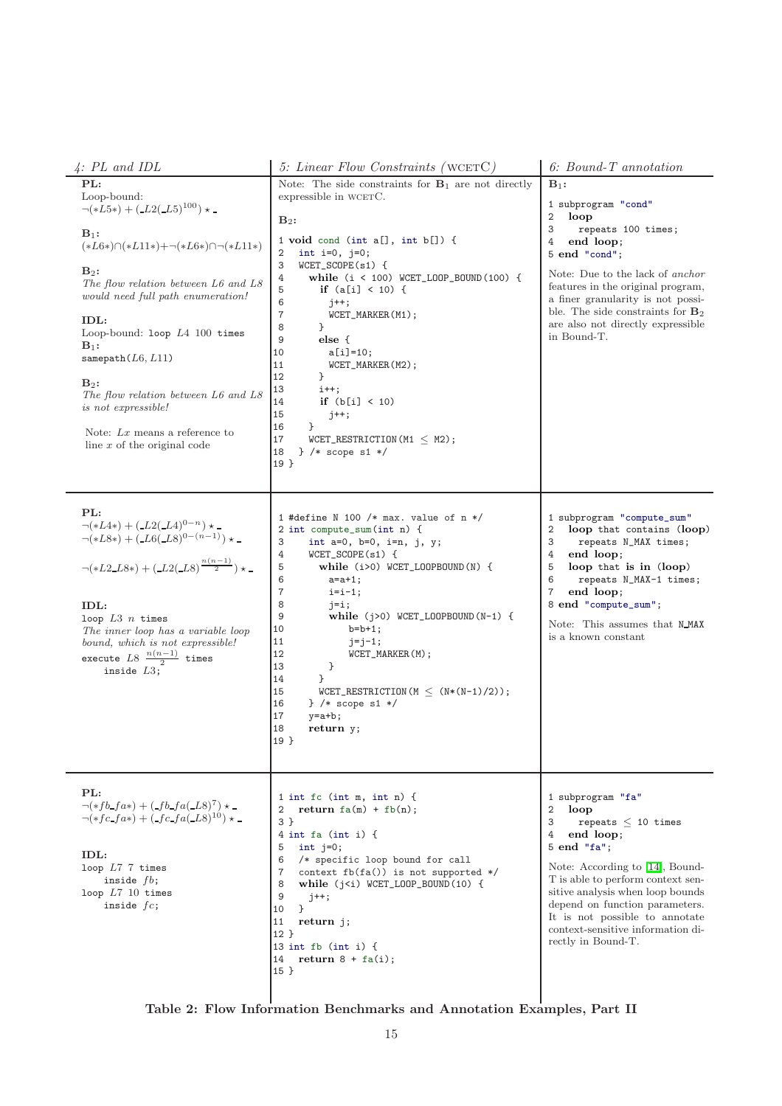| $4: PL$ and IDL                                                                                                                                                                                                                                                                                                                                                                                                                                                     | 5: Linear Flow Constraints (WCETC)                                                                                                                                                                                                                                                                                                                                                                                                                                                                                                         | 6: Bound-T annotation                                                                                                                                                                                                                                                                                                                           |
|---------------------------------------------------------------------------------------------------------------------------------------------------------------------------------------------------------------------------------------------------------------------------------------------------------------------------------------------------------------------------------------------------------------------------------------------------------------------|--------------------------------------------------------------------------------------------------------------------------------------------------------------------------------------------------------------------------------------------------------------------------------------------------------------------------------------------------------------------------------------------------------------------------------------------------------------------------------------------------------------------------------------------|-------------------------------------------------------------------------------------------------------------------------------------------------------------------------------------------------------------------------------------------------------------------------------------------------------------------------------------------------|
| PL:                                                                                                                                                                                                                                                                                                                                                                                                                                                                 | Note: The side constraints for $B_1$ are not directly                                                                                                                                                                                                                                                                                                                                                                                                                                                                                      | $B_1$ :                                                                                                                                                                                                                                                                                                                                         |
| Loop-bound:<br>$\neg(\ast L5\ast) + (\_L2(\_L5)^{100}) \star \_$<br>$B_1$ :<br>$(*L6*) \cap (*L11*) + \neg(*L6*) \cap \neg(*L11*)$<br>$B_2$ :<br>The flow relation between L6 and L8<br>would need full path enumeration!<br>IDL:<br>Loop-bound: loop $L4$ 100 times<br>$B_1$ :<br>$\texttt{samepath}(L6, L11)$<br>$B_2$ :<br>The flow relation between L6 and L8<br><i>is not expressible!</i><br>Note: $Lx$ means a reference to<br>line $x$ of the original code | expressible in WCETC.<br>$B_2$ :<br>1 void cond (int $a[]$ , int $b[]$ ) {<br>2<br>$int i=0, j=0;$<br>3<br>$WCET_SC0PE(s1)$ {<br>$\overline{4}$<br>while $(i < 100)$ WCET_LOOP_BOUND $(100)$ {<br>5<br>if $(a[i] < 10)$ {<br>6<br>j++;<br>$\overline{7}$<br>WCET_MARKER(M1);<br>8<br>$\mathcal{F}$<br>9<br>else {<br>10<br>$a[i] = 10;$<br>11<br>WCET_MARKER(M2);<br>12<br>}<br>13<br>$i++;$<br>14<br>if $(b[i] < 10)$<br>15<br>$j++;$<br>16<br>}<br>17<br>WCET_RESTRICTION (M1 $\leq$ M2);<br>$}$ /* scope s1 */<br>18<br>19 <sup>3</sup> | 1 subprogram "cond"<br>2<br>loop<br>3<br>repeats 100 times;<br>end loop;<br>4<br>5 end "cond";<br>Note: Due to the lack of <i>anchor</i><br>features in the original program,<br>a finer granularity is not possi-<br>ble. The side constraints for $\mathbf{B}_2$<br>are also not directly expressible<br>in Bound-T.                          |
| PL:<br>$\neg(\ast L4\ast) + (\_L2(\_L4)^{0-n}) \star$<br>$\lnot(*L8*) + (\_L6(\_L8)^{0-(n-1)}) \star \_$<br>$\neg(\ast L2 \_L8 \ast) + (\_L2 (\_L8)^{\frac{n(n-1)}{2}}) \star \_$<br>IDL:<br>loop $L3$ n times<br>The inner loop has a variable loop<br>bound, which is not expressible!<br>execute $L8 \frac{n(n-1)}{2}$ times<br>inside $L3$ ;                                                                                                                    | 1 #define N 100 /* max. value of $n$ */<br>2 int compute_sum(int n) {<br>3<br>int $a=0$ , $b=0$ , $i=n$ , $j$ , $y$ ;<br>4<br>$WCET_SC0PE(s1)$ {<br>5<br>while $(i>0)$ WCET_LOOPBOUND $(N)$ {<br>6<br>a=a+1;<br>$\overline{7}$<br>$i=i-1;$<br>8<br>$j=i;$<br>9<br>while $(j>0)$ WCET_LOOPBOUND(N-1) {<br>10<br>$b=b+1;$<br>11<br>$j=j-1;$<br>12<br>WCET_MARKER(M);<br>}<br>13<br>}<br>14<br>15<br>WCET_RESTRICTION( $M \leq (N*(N-1)/2)$ );<br>$}$ /* scope s1 */<br>16<br>17<br>$y=a+b;$<br>18<br>return y;<br>19 }                       | 1 subprogram "compute_sum"<br>2<br>loop that contains (loop)<br>3<br>repeats N_MAX times;<br>end loop;<br>4<br>5<br>loop that is in (loop)<br>repeats N_MAX-1 times;<br>6<br>7<br>end loop;<br>8 end "compute_sum";<br>Note: This assumes that N_MAX<br>is a known constant                                                                     |
| PL:<br>$\lnot(\ast f b\_{f a \ast}) + (\lnot b\lnot f a(\lnot L8)^\mathbf{7}) \star \texttt{.}$<br>$\neg(*fc\_fa*) + (\_fc\_fa(\_L8)^{10}) \star$<br>IDL:<br>loop $L7$ 7 times<br>inside $fb$ ;<br>loop $L7$ 10 times<br>inside $fc$ ;                                                                                                                                                                                                                              | 1 int fc (int $m$ , int $n$ ) {<br>return $fa(m) + fb(n)$ ;<br>2<br>3 <sup>3</sup><br>$4$ int fa (int i) {<br>5<br>$int j=0;$<br>/* specific loop bound for call<br>6<br>context $fb(fa())$ is not supported */<br>7<br>while $(i \leq i)$ WCET_LOOP_BOUND $(10)$ {<br>8<br>9<br>$j++;$<br>$\mathcal{F}$<br>10<br>11<br>return j;<br>$12$ }<br>13 int fb (int i) $\{$<br>14<br>return $8 + fa(i)$ ;<br>$15$ }                                                                                                                              | 1 subprogram "fa"<br>2<br>loop<br>3<br>repeats $\leq$ 10 times<br>4<br>end loop;<br>$5$ end $"fa"$ ;<br>Note: According to [14], Bound-<br>T is able to perform context sen-<br>sitive analysis when loop bounds<br>depend on function parameters.<br>It is not possible to annotate<br>context-sensitive information di-<br>rectly in Bound-T. |

Table 2: Flow Information Benchmarks and Annotation Examples, Part II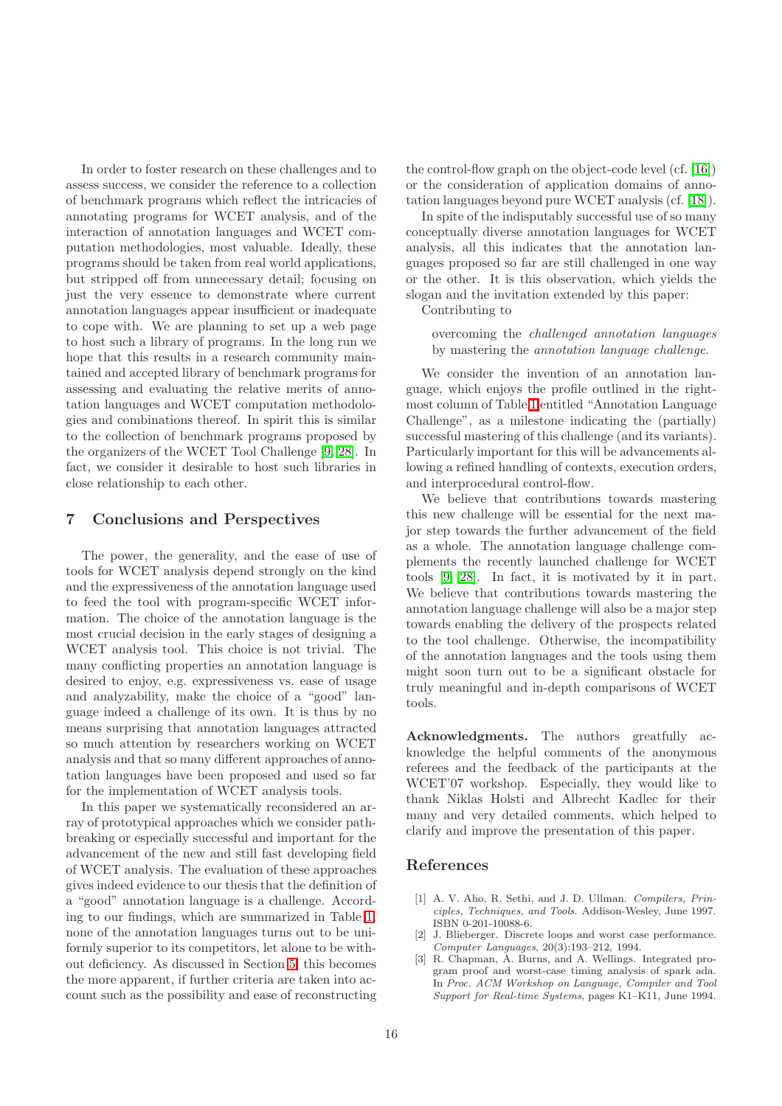In order to foster research on these challenges and to assess success, we consider the reference to a collection of benchmark programs which reflect the intricacies of annotating programs for WCET analysis, and of the interaction of annotation languages and WCET computation methodologies, most valuable. Ideally, these programs should be taken from real world applications, but stripped off from unnecessary detail; focusing on just the very essence to demonstrate where current annotation languages appear insufficient or inadequate to cope with. We are planning to set up a web page to host such a library of programs. In the long run we hope that this results in a research community maintained and accepted library of benchmark programs for assessing and evaluating the relative merits of annotation languages and WCET computation methodologies and combinations thereof. In spirit this is similar to the collection of benchmark programs proposed by the organizers of the WCET Tool Challenge [\[9,](#page-16-1) [28\]](#page-16-2). In fact, we consider it desirable to host such libraries in close relationship to each other.

### 7 Conclusions and Perspectives

The power, the generality, and the ease of use of tools for WCET analysis depend strongly on the kind and the expressiveness of the annotation language used to feed the tool with program-specific WCET information. The choice of the annotation language is the most crucial decision in the early stages of designing a WCET analysis tool. This choice is not trivial. The many conflicting properties an annotation language is desired to enjoy, e.g. expressiveness vs. ease of usage and analyzability, make the choice of a "good" language indeed a challenge of its own. It is thus by no means surprising that annotation languages attracted so much attention by researchers working on WCET analysis and that so many different approaches of annotation languages have been proposed and used so far for the implementation of WCET analysis tools.

In this paper we systematically reconsidered an array of prototypical approaches which we consider pathbreaking or especially successful and important for the advancement of the new and still fast developing field of WCET analysis. The evaluation of these approaches gives indeed evidence to our thesis that the definition of a "good" annotation language is a challenge. According to our findings, which are summarized in Table [1,](#page-11-0) none of the annotation languages turns out to be uniformly superior to its competitors, let alone to be without deficiency. As discussed in Section [5,](#page-10-0) this becomes the more apparent, if further criteria are taken into account such as the possibility and ease of reconstructing the control-flow graph on the object-code level (cf. [\[16\]](#page-16-25)) or the consideration of application domains of annotation languages beyond pure WCET analysis (cf. [\[18\]](#page-16-26)).

In spite of the indisputably successful use of so many conceptually diverse annotation languages for WCET analysis, all this indicates that the annotation languages proposed so far are still challenged in one way or the other. It is this observation, which yields the slogan and the invitation extended by this paper:

Contributing to

overcoming the challenged annotation languages by mastering the annotation language challenge.

We consider the invention of an annotation language, which enjoys the profile outlined in the rightmost column of Table [1](#page-11-0) entitled "Annotation Language Challenge", as a milestone indicating the (partially) successful mastering of this challenge (and its variants). Particularly important for this will be advancements allowing a refined handling of contexts, execution orders, and interprocedural control-flow.

We believe that contributions towards mastering this new challenge will be essential for the next major step towards the further advancement of the field as a whole. The annotation language challenge complements the recently launched challenge for WCET tools [\[9,](#page-16-1) [28\]](#page-16-2). In fact, it is motivated by it in part. We believe that contributions towards mastering the annotation language challenge will also be a major step towards enabling the delivery of the prospects related to the tool challenge. Otherwise, the incompatibility of the annotation languages and the tools using them might soon turn out to be a significant obstacle for truly meaningful and in-depth comparisons of WCET tools.

Acknowledgments. The authors greatfully acknowledge the helpful comments of the anonymous referees and the feedback of the participants at the WCET'07 workshop. Especially, they would like to thank Niklas Holsti and Albrecht Kadlec for their many and very detailed comments, which helped to clarify and improve the presentation of this paper.

### <span id="page-15-0"></span>References

- [1] A. V. Aho, R. Sethi, and J. D. Ullman. Compilers, Principles, Techniques, and Tools. Addison-Wesley, June 1997. ISBN 0-201-10088-6.
- <span id="page-15-2"></span>[2] J. Blieberger. Discrete loops and worst case performance. Computer Languages, 20(3):193–212, 1994.
- <span id="page-15-1"></span>[3] R. Chapman, A. Burns, and A. Wellings. Integrated program proof and worst-case timing analysis of spark ada. In Proc. ACM Workshop on Language, Compiler and Tool Support for Real-time Systems, pages K1–K11, June 1994.